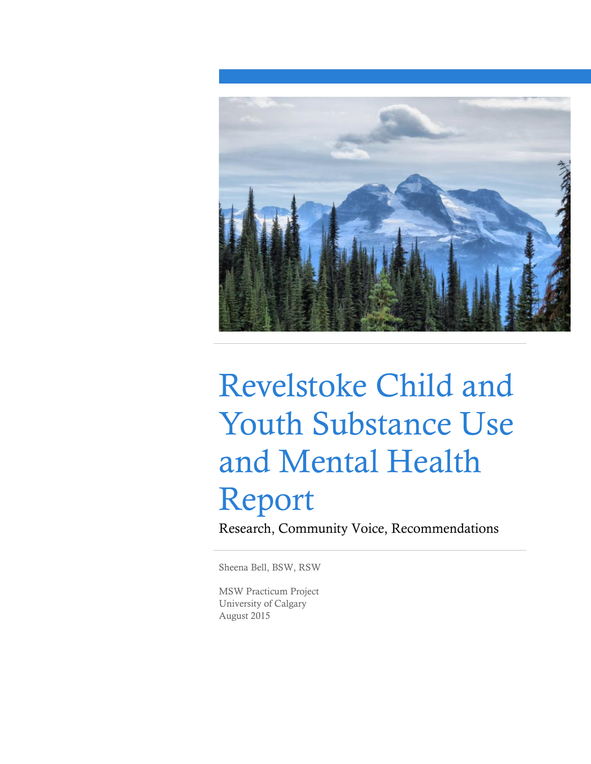

# Revelstoke Child and Youth Substance Use and Mental Health Report

Research, Community Voice, Recommendations

Sheena Bell, BSW, RSW

MSW Practicum Project University of Calgary August 2015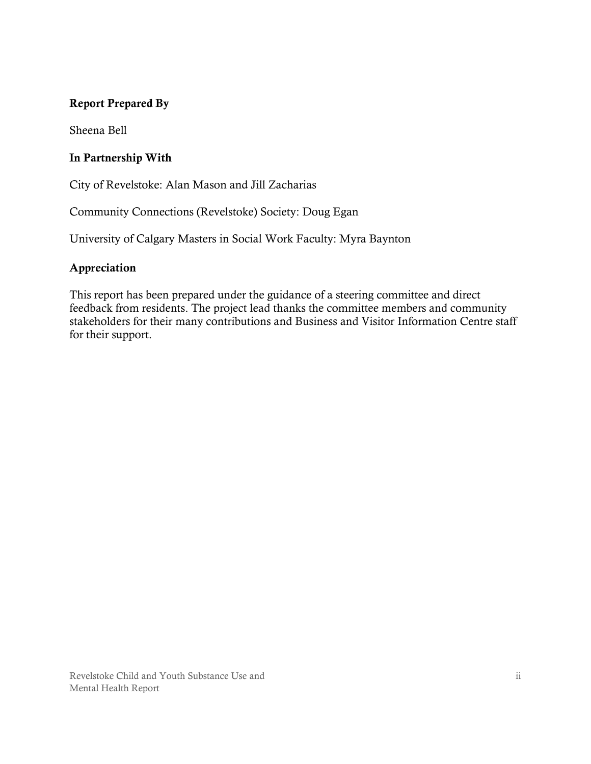#### **Report Prepared By**

Sheena Bell

#### **In Partnership With**

City of Revelstoke: Alan Mason and Jill Zacharias

Community Connections (Revelstoke) Society: Doug Egan

University of Calgary Masters in Social Work Faculty: Myra Baynton

#### **Appreciation**

This report has been prepared under the guidance of a steering committee and direct feedback from residents. The project lead thanks the committee members and community stakeholders for their many contributions and Business and Visitor Information Centre staff for their support.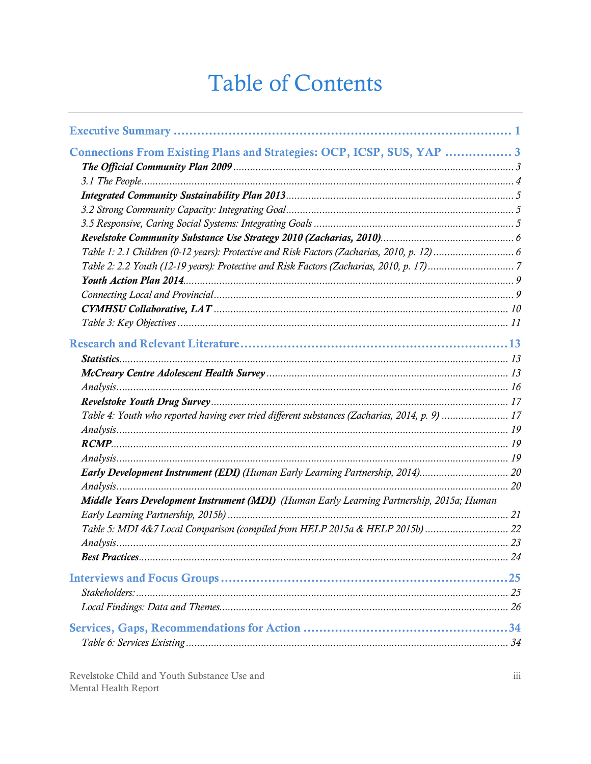## **Table of Contents**

| Connections From Existing Plans and Strategies: OCP, ICSP, SUS, YAP  3                         |  |
|------------------------------------------------------------------------------------------------|--|
|                                                                                                |  |
|                                                                                                |  |
|                                                                                                |  |
|                                                                                                |  |
|                                                                                                |  |
|                                                                                                |  |
|                                                                                                |  |
|                                                                                                |  |
|                                                                                                |  |
|                                                                                                |  |
|                                                                                                |  |
|                                                                                                |  |
|                                                                                                |  |
|                                                                                                |  |
|                                                                                                |  |
|                                                                                                |  |
| Table 4: Youth who reported having ever tried different substances (Zacharias, 2014, p. 9)  17 |  |
|                                                                                                |  |
|                                                                                                |  |
|                                                                                                |  |
| Early Development Instrument (EDI) (Human Early Learning Partnership, 2014) 20                 |  |
|                                                                                                |  |
| Middle Years Development Instrument (MDI) (Human Early Learning Partnership, 2015a; Human      |  |
|                                                                                                |  |
|                                                                                                |  |
|                                                                                                |  |
|                                                                                                |  |
|                                                                                                |  |
|                                                                                                |  |
|                                                                                                |  |
|                                                                                                |  |
|                                                                                                |  |
|                                                                                                |  |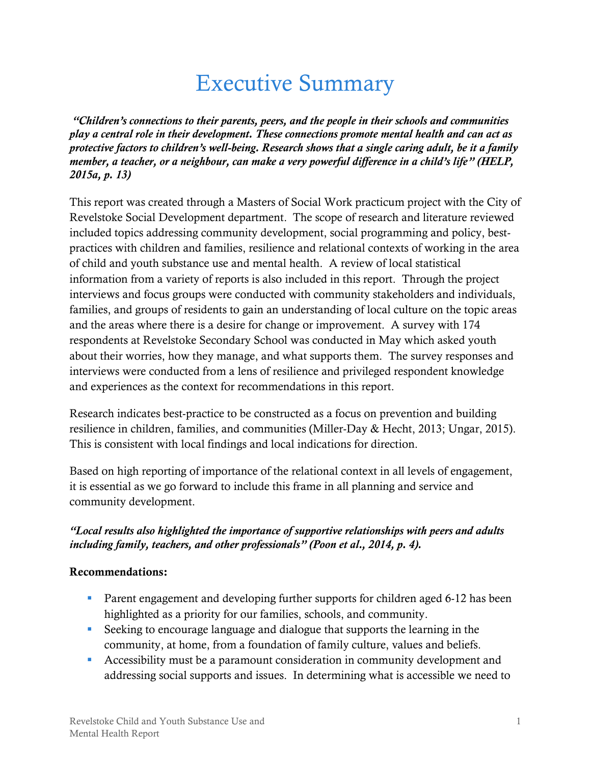## Executive Summary

<span id="page-4-0"></span>*"Children's connections to their parents, peers, and the people in their schools and communities play a central role in their development. These connections promote mental health and can act as protective factors to children's well-being. Research shows that a single caring adult, be it a family member, a teacher, or a neighbour, can make a very powerful difference in a child's life" (HELP, 2015a, p. 13)*

This report was created through a Masters of Social Work practicum project with the City of Revelstoke Social Development department. The scope of research and literature reviewed included topics addressing community development, social programming and policy, bestpractices with children and families, resilience and relational contexts of working in the area of child and youth substance use and mental health. A review of local statistical information from a variety of reports is also included in this report. Through the project interviews and focus groups were conducted with community stakeholders and individuals, families, and groups of residents to gain an understanding of local culture on the topic areas and the areas where there is a desire for change or improvement. A survey with 174 respondents at Revelstoke Secondary School was conducted in May which asked youth about their worries, how they manage, and what supports them. The survey responses and interviews were conducted from a lens of resilience and privileged respondent knowledge and experiences as the context for recommendations in this report.

Research indicates best-practice to be constructed as a focus on prevention and building resilience in children, families, and communities (Miller-Day & Hecht, 2013; Ungar, 2015). This is consistent with local findings and local indications for direction.

Based on high reporting of importance of the relational context in all levels of engagement, it is essential as we go forward to include this frame in all planning and service and community development.

#### *"Local results also highlighted the importance of supportive relationships with peers and adults including family, teachers, and other professionals" (Poon et al., 2014, p. 4).*

#### **Recommendations:**

- **Parent engagement and developing further supports for children aged 6-12 has been** highlighted as a priority for our families, schools, and community.
- Seeking to encourage language and dialogue that supports the learning in the community, at home, from a foundation of family culture, values and beliefs.
- Accessibility must be a paramount consideration in community development and addressing social supports and issues. In determining what is accessible we need to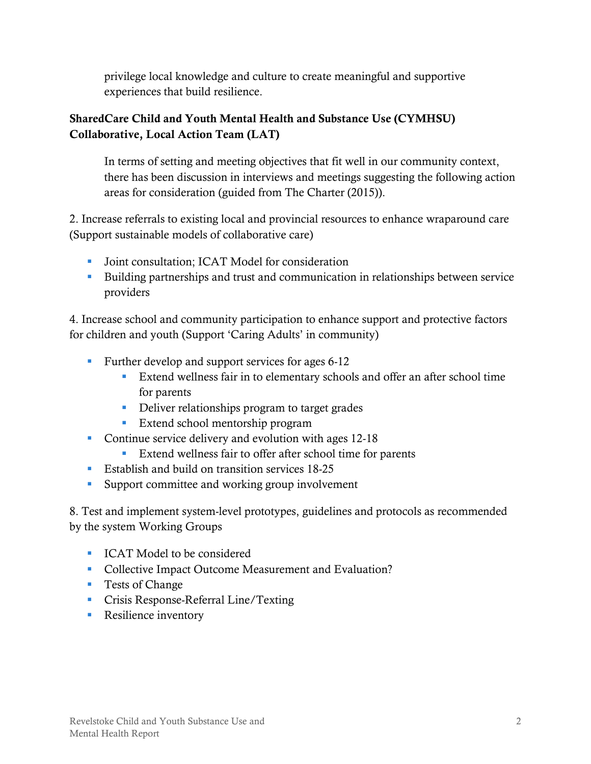privilege local knowledge and culture to create meaningful and supportive experiences that build resilience.

#### **SharedCare Child and Youth Mental Health and Substance Use (CYMHSU) Collaborative, Local Action Team (LAT)**

In terms of setting and meeting objectives that fit well in our community context, there has been discussion in interviews and meetings suggesting the following action areas for consideration (guided from The Charter (2015)).

2. Increase referrals to existing local and provincial resources to enhance wraparound care (Support sustainable models of collaborative care)

- Joint consultation: ICAT Model for consideration
- Building partnerships and trust and communication in relationships between service providers

4. Increase school and community participation to enhance support and protective factors for children and youth (Support 'Caring Adults' in community)

- **Further develop and support services for ages 6-12** 
	- Extend wellness fair in to elementary schools and offer an after school time for parents
	- Deliver relationships program to target grades
	- **Extend school mentorship program**
- Continue service delivery and evolution with ages 12-18
	- Extend wellness fair to offer after school time for parents
- **Establish and build on transition services 18-25**
- **Support committee and working group involvement**

8. Test and implement system-level prototypes, guidelines and protocols as recommended by the system Working Groups

- **ICAT Model to be considered**
- **Collective Impact Outcome Measurement and Evaluation?**
- **Tests of Change**
- **Crisis Response-Referral Line/Texting**
- **Resilience inventory**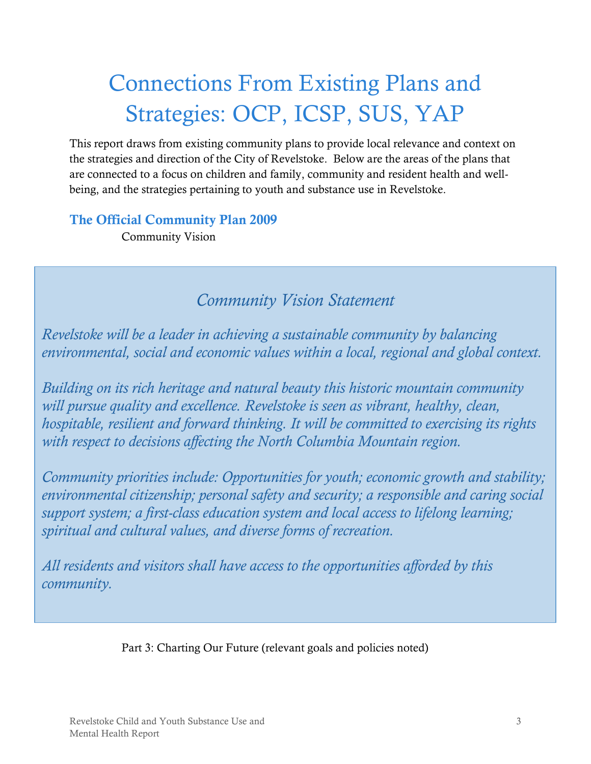## <span id="page-6-0"></span>Connections From Existing Plans and Strategies: OCP, ICSP, SUS, YAP

This report draws from existing community plans to provide local relevance and context on the strategies and direction of the City of Revelstoke. Below are the areas of the plans that are connected to a focus on children and family, community and resident health and wellbeing, and the strategies pertaining to youth and substance use in Revelstoke.

<span id="page-6-1"></span>**The Official Community Plan 2009**

Community Vision

## *Community Vision Statement*

*Revelstoke will be a leader in achieving a sustainable community by balancing environmental, social and economic values within a local, regional and global context.* 

*Building on its rich heritage and natural beauty this historic mountain community will pursue quality and excellence. Revelstoke is seen as vibrant, healthy, clean, hospitable, resilient and forward thinking. It will be committed to exercising its rights with respect to decisions affecting the North Columbia Mountain region.* 

*Community priorities include: Opportunities for youth; economic growth and stability; environmental citizenship; personal safety and security; a responsible and caring social support system; a first-class education system and local access to lifelong learning; spiritual and cultural values, and diverse forms of recreation.* 

*All residents and visitors shall have access to the opportunities afforded by this community.*

Part 3: Charting Our Future (relevant goals and policies noted)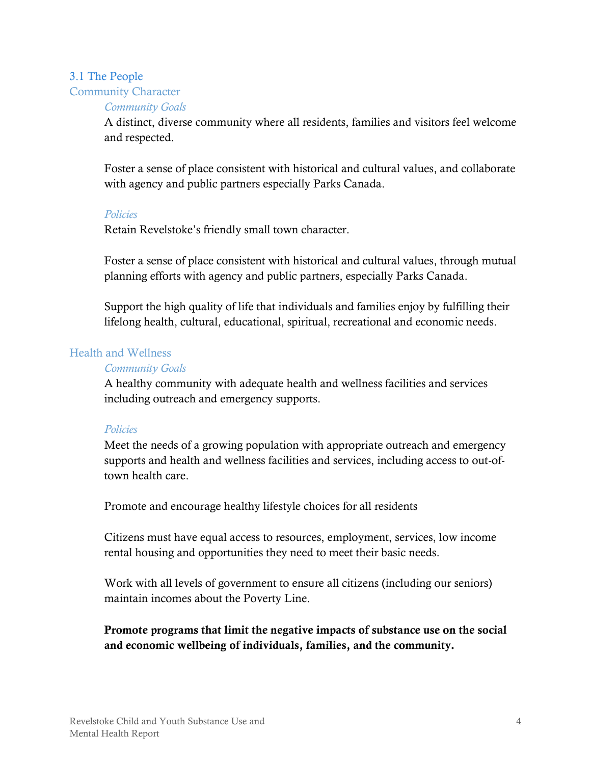## <span id="page-7-0"></span>3.1 The People Community Character

#### *Community Goals*

A distinct, diverse community where all residents, families and visitors feel welcome and respected.

Foster a sense of place consistent with historical and cultural values, and collaborate with agency and public partners especially Parks Canada.

#### *Policies*

Retain Revelstoke's friendly small town character.

Foster a sense of place consistent with historical and cultural values, through mutual planning efforts with agency and public partners, especially Parks Canada.

Support the high quality of life that individuals and families enjoy by fulfilling their lifelong health, cultural, educational, spiritual, recreational and economic needs.

#### Health and Wellness

#### *Community Goals*

A healthy community with adequate health and wellness facilities and services including outreach and emergency supports.

#### *Policies*

Meet the needs of a growing population with appropriate outreach and emergency supports and health and wellness facilities and services, including access to out-oftown health care.

Promote and encourage healthy lifestyle choices for all residents

Citizens must have equal access to resources, employment, services, low income rental housing and opportunities they need to meet their basic needs.

Work with all levels of government to ensure all citizens (including our seniors) maintain incomes about the Poverty Line.

#### **Promote programs that limit the negative impacts of substance use on the social and economic wellbeing of individuals, families, and the community.**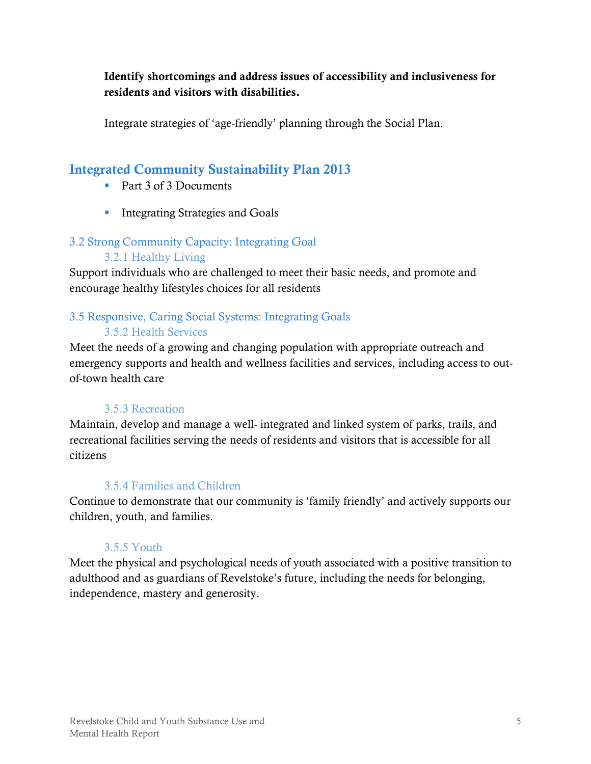**Identify shortcomings and address issues of accessibility and inclusiveness for residents and visitors with disabilities.**

Integrate strategies of 'age-friendly' planning through the Social Plan.

## <span id="page-8-0"></span>**Integrated Community Sustainability Plan 2013**

- Part 3 of 3 Documents
- **Integrating Strategies and Goals**

### <span id="page-8-1"></span>3.2 Strong Community Capacity: Integrating Goal

### 3.2.1 Healthy Living

Support individuals who are challenged to meet their basic needs, and promote and encourage healthy lifestyles choices for all residents

## <span id="page-8-2"></span>3.5 Responsive, Caring Social Systems: Integrating Goals

#### 3.5.2 Health Services

Meet the needs of a growing and changing population with appropriate outreach and emergency supports and health and wellness facilities and services, including access to outof-town health care

#### 3.5.3 Recreation

Maintain, develop and manage a well- integrated and linked system of parks, trails, and recreational facilities serving the needs of residents and visitors that is accessible for all citizens

### 3.5.4 Families and Children

Continue to demonstrate that our community is 'family friendly' and actively supports our children, youth, and families.

#### 3.5.5 Youth

Meet the physical and psychological needs of youth associated with a positive transition to adulthood and as guardians of Revelstoke's future, including the needs for belonging, independence, mastery and generosity.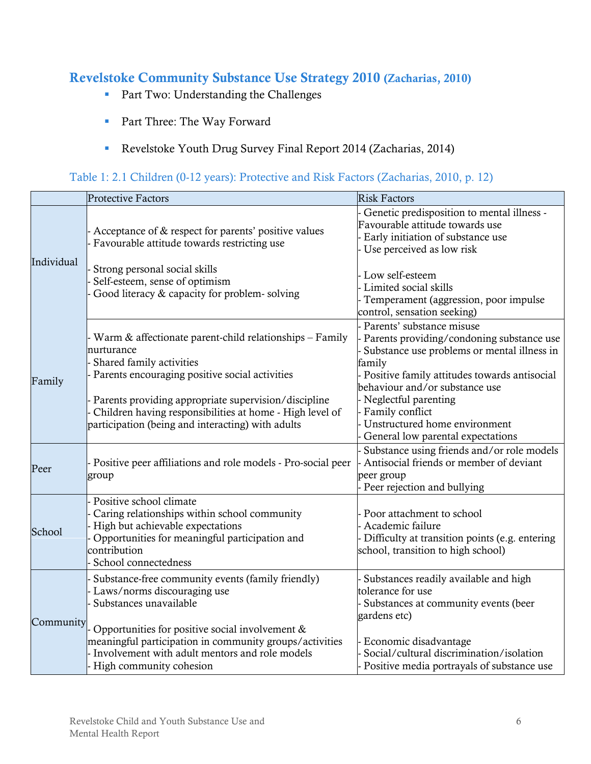#### <span id="page-9-0"></span>**Revelstoke Community Substance Use Strategy 2010 (Zacharias, 2010)**

- **Part Two: Understanding the Challenges**
- **Part Three: The Way Forward**
- Revelstoke Youth Drug Survey Final Report 2014 (Zacharias, 2014)

#### <span id="page-9-1"></span>Table 1: 2.1 Children (0-12 years): Protective and Risk Factors (Zacharias, 2010, p. 12)

|            | Protective Factors                                                                                                                                                                                                                                                                                                           | <b>Risk Factors</b>                                                                                                                                                                                                                                                                                                                |
|------------|------------------------------------------------------------------------------------------------------------------------------------------------------------------------------------------------------------------------------------------------------------------------------------------------------------------------------|------------------------------------------------------------------------------------------------------------------------------------------------------------------------------------------------------------------------------------------------------------------------------------------------------------------------------------|
| Individual | Acceptance of & respect for parents' positive values<br>Favourable attitude towards restricting use                                                                                                                                                                                                                          | Genetic predisposition to mental illness -<br>Favourable attitude towards use<br>Early initiation of substance use<br>Use perceived as low risk                                                                                                                                                                                    |
|            | Strong personal social skills<br>Self-esteem, sense of optimism<br>Good literacy & capacity for problem-solving                                                                                                                                                                                                              | Low self-esteem<br>Limited social skills<br>Temperament (aggression, poor impulse<br>control, sensation seeking)                                                                                                                                                                                                                   |
| Family     | Warm & affectionate parent-child relationships - Family<br>nurturance<br>Shared family activities<br>Parents encouraging positive social activities<br>Parents providing appropriate supervision/discipline<br>Children having responsibilities at home - High level of<br>participation (being and interacting) with adults | Parents' substance misuse<br>Parents providing/condoning substance use<br>Substance use problems or mental illness in<br>family<br>Positive family attitudes towards antisocial<br>behaviour and/or substance use<br>Neglectful parenting<br>Family conflict<br>Unstructured home environment<br>General low parental expectations |
| Peer       | Positive peer affiliations and role models - Pro-social peer<br>group                                                                                                                                                                                                                                                        | Substance using friends and/or role models<br>Antisocial friends or member of deviant<br>peer group<br>Peer rejection and bullying                                                                                                                                                                                                 |
| School     | Positive school climate<br>Caring relationships within school community<br>High but achievable expectations<br>Opportunities for meaningful participation and<br>contribution<br>School connectedness                                                                                                                        | Poor attachment to school<br>Academic failure<br>Difficulty at transition points (e.g. entering<br>school, transition to high school)                                                                                                                                                                                              |
| Community  | Substance-free community events (family friendly)<br>Laws/norms discouraging use<br>Substances unavailable<br>Opportunities for positive social involvement &<br>meaningful participation in community groups/activities<br>Involvement with adult mentors and role models<br>High community cohesion                        | Substances readily available and high<br>tolerance for use<br>Substances at community events (beer<br>gardens etc)<br>Economic disadvantage<br>Social/cultural discrimination/isolation<br>Positive media portrayals of substance use                                                                                              |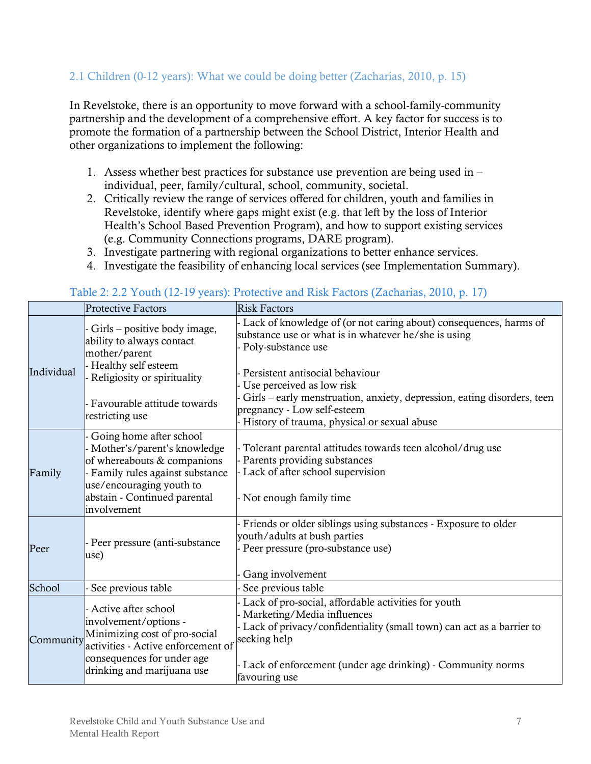#### 2.1 Children (0-12 years): What we could be doing better (Zacharias, 2010, p. 15)

In Revelstoke, there is an opportunity to move forward with a school-family-community partnership and the development of a comprehensive effort. A key factor for success is to promote the formation of a partnership between the School District, Interior Health and other organizations to implement the following:

- 1. Assess whether best practices for substance use prevention are being used in individual, peer, family/cultural, school, community, societal.
- 2. Critically review the range of services offered for children, youth and families in Revelstoke, identify where gaps might exist (e.g. that left by the loss of Interior Health's School Based Prevention Program), and how to support existing services (e.g. Community Connections programs, DARE program).
- 3. Investigate partnering with regional organizations to better enhance services.
- 4. Investigate the feasibility of enhancing local services (see Implementation Summary).

|            | <b>Protective Factors</b>                                                                                                                                                                                | <b>Risk Factors</b>                                                                                                                                                                                                                                                                                                                                                      |
|------------|----------------------------------------------------------------------------------------------------------------------------------------------------------------------------------------------------------|--------------------------------------------------------------------------------------------------------------------------------------------------------------------------------------------------------------------------------------------------------------------------------------------------------------------------------------------------------------------------|
| Individual | - Girls – positive body image,<br>ability to always contact<br>mother/parent<br>- Healthy self esteem<br>- Religiosity or spirituality<br>- Favourable attitude towards<br>restricting use               | Lack of knowledge of (or not caring about) consequences, harms of<br>substance use or what is in whatever he/she is using<br>Poly-substance use<br>Persistent antisocial behaviour<br>Use perceived as low risk<br>Girls – early menstruation, anxiety, depression, eating disorders, teen<br>pregnancy - Low self-esteem<br>History of trauma, physical or sexual abuse |
| Family     | - Going home after school<br>- Mother's/parent's knowledge<br>of whereabouts & companions<br>- Family rules against substance<br>use/encouraging youth to<br>abstain - Continued parental<br>involvement | Tolerant parental attitudes towards teen alcohol/drug use<br>Parents providing substances<br>Lack of after school supervision<br>Not enough family time                                                                                                                                                                                                                  |
| Peer       | - Peer pressure (anti-substance<br>use)                                                                                                                                                                  | Friends or older siblings using substances - Exposure to older<br>youth/adults at bush parties<br>Peer pressure (pro-substance use)<br>Gang involvement                                                                                                                                                                                                                  |
| School     | See previous table                                                                                                                                                                                       | See previous table                                                                                                                                                                                                                                                                                                                                                       |
| Community  | - Active after school<br>involvement/options -<br>Minimizing cost of pro-social<br>activities - Active enforcement of<br>consequences for under age<br>drinking and marijuana use                        | Lack of pro-social, affordable activities for youth<br>Marketing/Media influences<br>Lack of privacy/confidentiality (small town) can act as a barrier to<br>seeking help<br>Lack of enforcement (under age drinking) - Community norms<br>favouring use                                                                                                                 |

#### <span id="page-10-0"></span>Table 2: 2.2 Youth (12-19 years): Protective and Risk Factors (Zacharias, 2010, p. 17)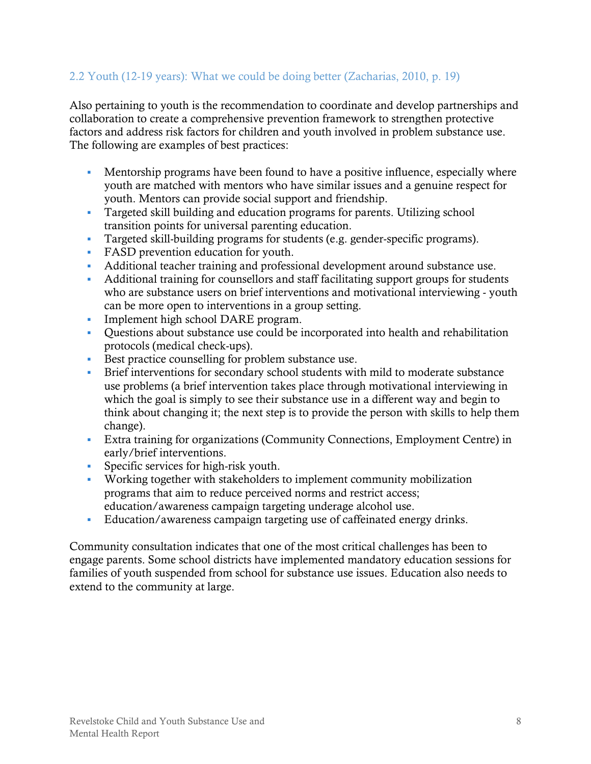#### 2.2 Youth (12-19 years): What we could be doing better (Zacharias, 2010, p. 19)

Also pertaining to youth is the recommendation to coordinate and develop partnerships and collaboration to create a comprehensive prevention framework to strengthen protective factors and address risk factors for children and youth involved in problem substance use. The following are examples of best practices:

- Mentorship programs have been found to have a positive influence, especially where youth are matched with mentors who have similar issues and a genuine respect for youth. Mentors can provide social support and friendship.
- Targeted skill building and education programs for parents. Utilizing school transition points for universal parenting education.
- Targeted skill-building programs for students (e.g. gender-specific programs).
- FASD prevention education for youth.
- Additional teacher training and professional development around substance use.
- Additional training for counsellors and staff facilitating support groups for students who are substance users on brief interventions and motivational interviewing - youth can be more open to interventions in a group setting.
- Implement high school DARE program.
- Questions about substance use could be incorporated into health and rehabilitation protocols (medical check-ups).
- Best practice counselling for problem substance use.
- Brief interventions for secondary school students with mild to moderate substance use problems (a brief intervention takes place through motivational interviewing in which the goal is simply to see their substance use in a different way and begin to think about changing it; the next step is to provide the person with skills to help them change).
- Extra training for organizations (Community Connections, Employment Centre) in early/brief interventions.
- Specific services for high-risk youth.
- Working together with stakeholders to implement community mobilization programs that aim to reduce perceived norms and restrict access; education/awareness campaign targeting underage alcohol use.
- Education/awareness campaign targeting use of caffeinated energy drinks.

Community consultation indicates that one of the most critical challenges has been to engage parents. Some school districts have implemented mandatory education sessions for families of youth suspended from school for substance use issues. Education also needs to extend to the community at large.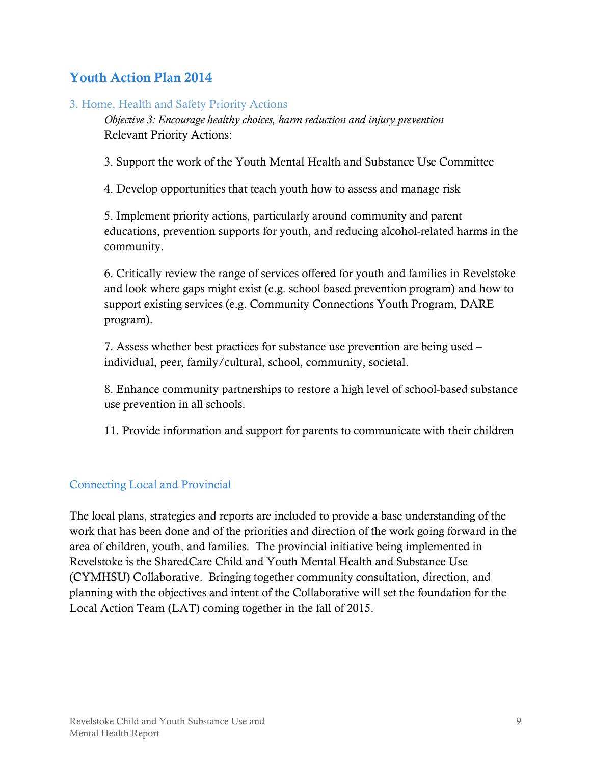## <span id="page-12-0"></span>**Youth Action Plan 2014**

#### 3. Home, Health and Safety Priority Actions

*Objective 3: Encourage healthy choices, harm reduction and injury prevention* Relevant Priority Actions:

3. Support the work of the Youth Mental Health and Substance Use Committee

4. Develop opportunities that teach youth how to assess and manage risk

5. Implement priority actions, particularly around community and parent educations, prevention supports for youth, and reducing alcohol-related harms in the community.

6. Critically review the range of services offered for youth and families in Revelstoke and look where gaps might exist (e.g. school based prevention program) and how to support existing services (e.g. Community Connections Youth Program, DARE program).

7. Assess whether best practices for substance use prevention are being used – individual, peer, family/cultural, school, community, societal.

8. Enhance community partnerships to restore a high level of school-based substance use prevention in all schools.

11. Provide information and support for parents to communicate with their children

#### <span id="page-12-1"></span>Connecting Local and Provincial

The local plans, strategies and reports are included to provide a base understanding of the work that has been done and of the priorities and direction of the work going forward in the area of children, youth, and families. The provincial initiative being implemented in Revelstoke is the SharedCare Child and Youth Mental Health and Substance Use (CYMHSU) Collaborative. Bringing together community consultation, direction, and planning with the objectives and intent of the Collaborative will set the foundation for the Local Action Team (LAT) coming together in the fall of 2015.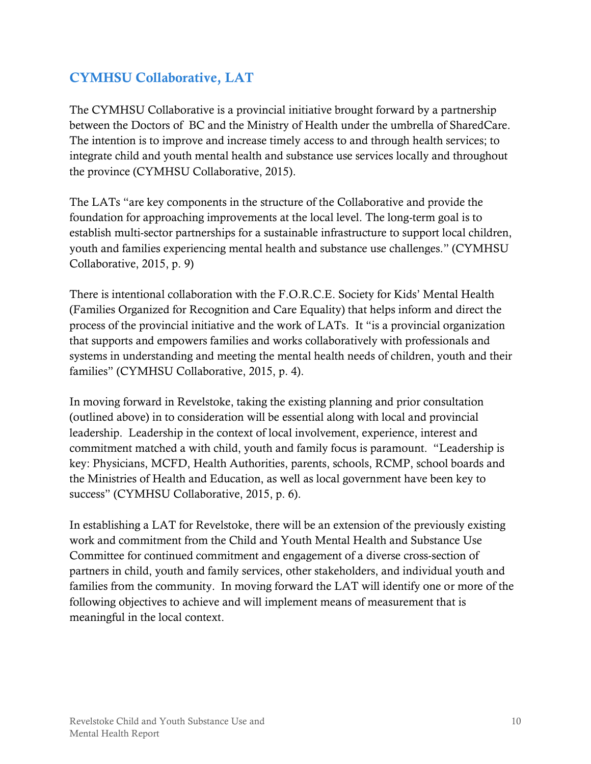## <span id="page-13-0"></span>**CYMHSU Collaborative, LAT**

The CYMHSU Collaborative is a provincial initiative brought forward by a partnership between the Doctors of BC and the Ministry of Health under the umbrella of SharedCare. The intention is to improve and increase timely access to and through health services; to integrate child and youth mental health and substance use services locally and throughout the province (CYMHSU Collaborative, 2015).

The LATs "are key components in the structure of the Collaborative and provide the foundation for approaching improvements at the local level. The long-term goal is to establish multi-sector partnerships for a sustainable infrastructure to support local children, youth and families experiencing mental health and substance use challenges." (CYMHSU Collaborative, 2015, p. 9)

There is intentional collaboration with the F.O.R.C.E. Society for Kids' Mental Health (Families Organized for Recognition and Care Equality) that helps inform and direct the process of the provincial initiative and the work of LATs. It "is a provincial organization that supports and empowers families and works collaboratively with professionals and systems in understanding and meeting the mental health needs of children, youth and their families" (CYMHSU Collaborative, 2015, p. 4).

In moving forward in Revelstoke, taking the existing planning and prior consultation (outlined above) in to consideration will be essential along with local and provincial leadership. Leadership in the context of local involvement, experience, interest and commitment matched a with child, youth and family focus is paramount. "Leadership is key: Physicians, MCFD, Health Authorities, parents, schools, RCMP, school boards and the Ministries of Health and Education, as well as local government have been key to success" (CYMHSU Collaborative, 2015, p. 6).

In establishing a LAT for Revelstoke, there will be an extension of the previously existing work and commitment from the Child and Youth Mental Health and Substance Use Committee for continued commitment and engagement of a diverse cross-section of partners in child, youth and family services, other stakeholders, and individual youth and families from the community. In moving forward the LAT will identify one or more of the following objectives to achieve and will implement means of measurement that is meaningful in the local context.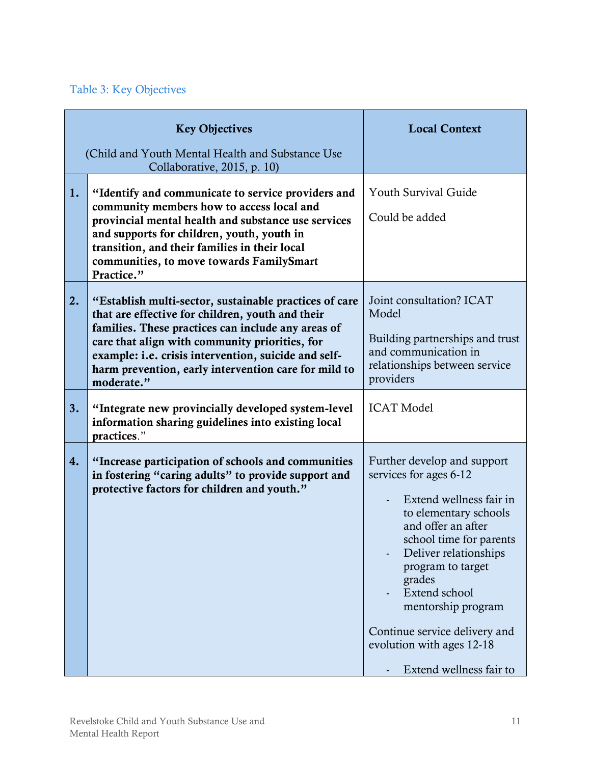## <span id="page-14-0"></span>Table 3: Key Objectives

|    | <b>Key Objectives</b>                                                                                                                                                                                                                                                                                                                            | <b>Local Context</b>                                                                                                                                                                                                                                                                                                                               |
|----|--------------------------------------------------------------------------------------------------------------------------------------------------------------------------------------------------------------------------------------------------------------------------------------------------------------------------------------------------|----------------------------------------------------------------------------------------------------------------------------------------------------------------------------------------------------------------------------------------------------------------------------------------------------------------------------------------------------|
|    | (Child and Youth Mental Health and Substance Use)<br>Collaborative, 2015, p. 10)                                                                                                                                                                                                                                                                 |                                                                                                                                                                                                                                                                                                                                                    |
| 1. | "Identify and communicate to service providers and<br>community members how to access local and<br>provincial mental health and substance use services<br>and supports for children, youth, youth in<br>transition, and their families in their local<br>communities, to move towards FamilySmart<br>Practice."                                  | <b>Youth Survival Guide</b><br>Could be added                                                                                                                                                                                                                                                                                                      |
| 2. | "Establish multi-sector, sustainable practices of care<br>that are effective for children, youth and their<br>families. These practices can include any areas of<br>care that align with community priorities, for<br>example: i.e. crisis intervention, suicide and self-<br>harm prevention, early intervention care for mild to<br>moderate." | Joint consultation? ICAT<br>Model<br>Building partnerships and trust<br>and communication in<br>relationships between service<br>providers                                                                                                                                                                                                         |
| 3. | "Integrate new provincially developed system-level<br>information sharing guidelines into existing local<br>practices."                                                                                                                                                                                                                          | <b>ICAT Model</b>                                                                                                                                                                                                                                                                                                                                  |
| 4. | "Increase participation of schools and communities<br>in fostering "caring adults" to provide support and<br>protective factors for children and youth."                                                                                                                                                                                         | Further develop and support<br>services for ages 6-12<br>Extend wellness fair in<br>to elementary schools<br>and offer an after<br>school time for parents<br>Deliver relationships<br>program to target<br>grades<br>Extend school<br>mentorship program<br>Continue service delivery and<br>evolution with ages 12-18<br>Extend wellness fair to |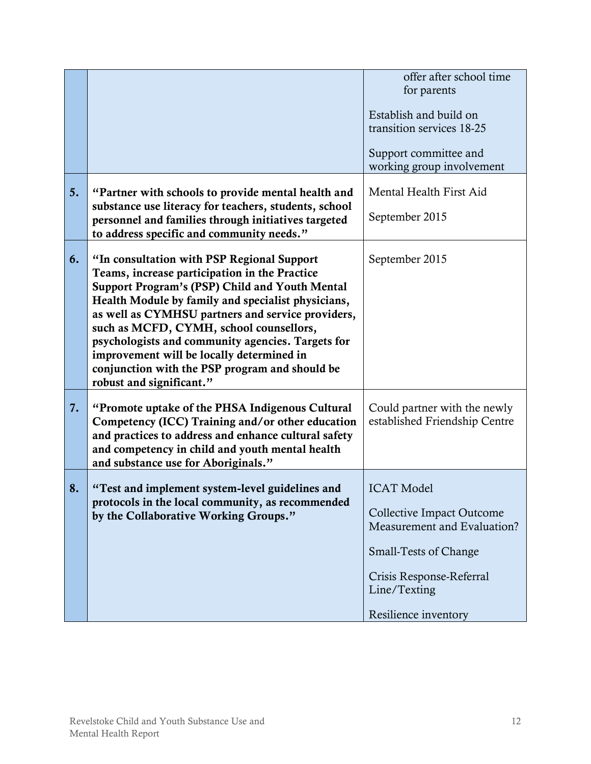|    |                                                                                                                                                                                                                                                                                                                                                                                                                                                                                     | offer after school time<br>for parents<br>Establish and build on<br>transition services 18-25<br>Support committee and<br>working group involvement                                      |
|----|-------------------------------------------------------------------------------------------------------------------------------------------------------------------------------------------------------------------------------------------------------------------------------------------------------------------------------------------------------------------------------------------------------------------------------------------------------------------------------------|------------------------------------------------------------------------------------------------------------------------------------------------------------------------------------------|
| 5. | "Partner with schools to provide mental health and<br>substance use literacy for teachers, students, school<br>personnel and families through initiatives targeted<br>to address specific and community needs."                                                                                                                                                                                                                                                                     | Mental Health First Aid<br>September 2015                                                                                                                                                |
| 6. | "In consultation with PSP Regional Support<br>Teams, increase participation in the Practice<br>Support Program's (PSP) Child and Youth Mental<br>Health Module by family and specialist physicians,<br>as well as CYMHSU partners and service providers,<br>such as MCFD, CYMH, school counsellors,<br>psychologists and community agencies. Targets for<br>improvement will be locally determined in<br>conjunction with the PSP program and should be<br>robust and significant." | September 2015                                                                                                                                                                           |
| 7. | "Promote uptake of the PHSA Indigenous Cultural"<br>Competency (ICC) Training and/or other education<br>and practices to address and enhance cultural safety<br>and competency in child and youth mental health<br>and substance use for Aboriginals."                                                                                                                                                                                                                              | Could partner with the newly<br>established Friendship Centre                                                                                                                            |
| 8. | "Test and implement system-level guidelines and<br>protocols in the local community, as recommended<br>by the Collaborative Working Groups."                                                                                                                                                                                                                                                                                                                                        | <b>ICAT Model</b><br><b>Collective Impact Outcome</b><br>Measurement and Evaluation?<br><b>Small-Tests of Change</b><br>Crisis Response-Referral<br>Line/Texting<br>Resilience inventory |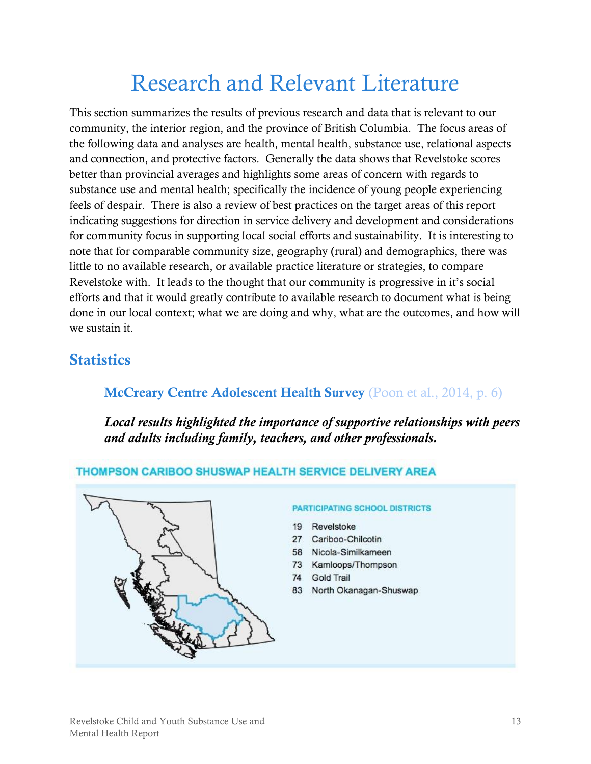## Research and Relevant Literature

<span id="page-16-0"></span>This section summarizes the results of previous research and data that is relevant to our community, the interior region, and the province of British Columbia. The focus areas of the following data and analyses are health, mental health, substance use, relational aspects and connection, and protective factors. Generally the data shows that Revelstoke scores better than provincial averages and highlights some areas of concern with regards to substance use and mental health; specifically the incidence of young people experiencing feels of despair. There is also a review of best practices on the target areas of this report indicating suggestions for direction in service delivery and development and considerations for community focus in supporting local social efforts and sustainability. It is interesting to note that for comparable community size, geography (rural) and demographics, there was little to no available research, or available practice literature or strategies, to compare Revelstoke with. It leads to the thought that our community is progressive in it's social efforts and that it would greatly contribute to available research to document what is being done in our local context; what we are doing and why, what are the outcomes, and how will we sustain it.

## <span id="page-16-2"></span><span id="page-16-1"></span>**Statistics**

## **McCreary Centre Adolescent Health Survey** (Poon et al., 2014, p. 6)

*Local results highlighted the importance of supportive relationships with peers and adults including family, teachers, and other professionals.* 

#### THOMPSON CARIBOO SHUSWAP HEALTH SERVICE DELIVERY AREA



#### **PARTICIPATING SCHOOL DISTRICTS**

- 19 Revelstoke
- 27 Cariboo-Chilcotin
- 58 Nicola-Similkameen
- 73 Kamloops/Thompson
- 74 **Gold Trail**
- 83 North Okanagan-Shuswap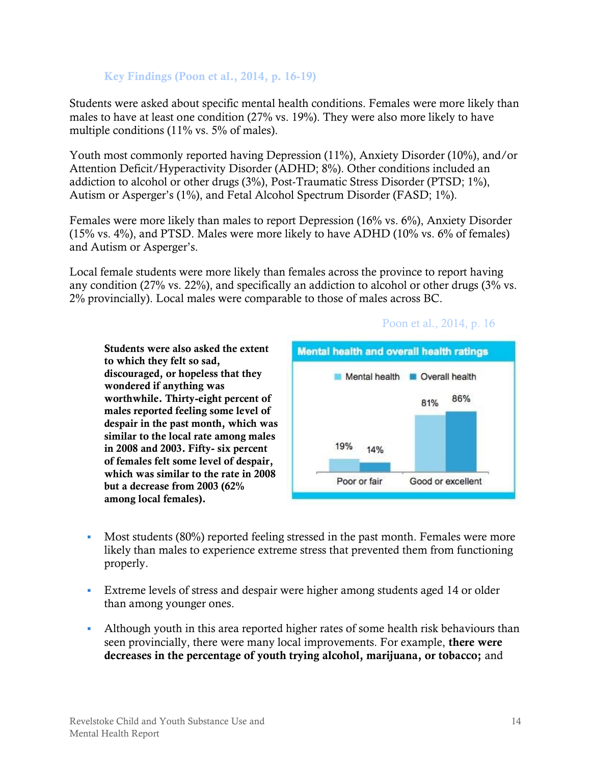#### **Key Findings (Poon et al., 2014, p. 16-19)**

Students were asked about specific mental health conditions. Females were more likely than males to have at least one condition (27% vs. 19%). They were also more likely to have multiple conditions (11% vs. 5% of males).

Youth most commonly reported having Depression (11%), Anxiety Disorder (10%), and/or Attention Deficit/Hyperactivity Disorder (ADHD; 8%). Other conditions included an addiction to alcohol or other drugs (3%), Post-Traumatic Stress Disorder (PTSD; 1%), Autism or Asperger's (1%), and Fetal Alcohol Spectrum Disorder (FASD; 1%).

Females were more likely than males to report Depression (16% vs. 6%), Anxiety Disorder (15% vs. 4%), and PTSD. Males were more likely to have ADHD (10% vs. 6% of females) and Autism or Asperger's.

Local female students were more likely than females across the province to report having any condition (27% vs. 22%), and specifically an addiction to alcohol or other drugs (3% vs. 2% provincially). Local males were comparable to those of males across BC.

**Students were also asked the extent to which they felt so sad, discouraged, or hopeless that they wondered if anything was worthwhile. Thirty-eight percent of males reported feeling some level of despair in the past month, which was similar to the local rate among males in 2008 and 2003. Fifty- six percent of females felt some level of despair, which was similar to the rate in 2008 but a decrease from 2003 (62% among local females).**



- Most students (80%) reported feeling stressed in the past month. Females were more likely than males to experience extreme stress that prevented them from functioning properly.
- Extreme levels of stress and despair were higher among students aged 14 or older than among younger ones.
- Although youth in this area reported higher rates of some health risk behaviours than seen provincially, there were many local improvements. For example, **there were decreases in the percentage of youth trying alcohol, marijuana, or tobacco;** and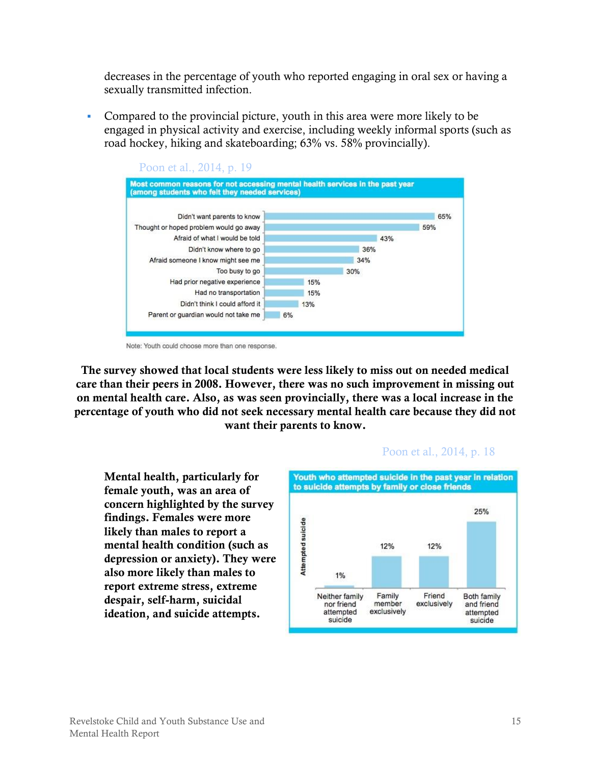decreases in the percentage of youth who reported engaging in oral sex or having a sexually transmitted infection.

 Compared to the provincial picture, youth in this area were more likely to be engaged in physical activity and exercise, including weekly informal sports (such as road hockey, hiking and skateboarding; 63% vs. 58% provincially).



Note: Youth could choose more than one response.

**The survey showed that local students were less likely to miss out on needed medical care than their peers in 2008. However, there was no such improvement in missing out on mental health care. Also, as was seen provincially, there was a local increase in the percentage of youth who did not seek necessary mental health care because they did not want their parents to know.**

**Mental health, particularly for female youth, was an area of concern highlighted by the survey findings. Females were more likely than males to report a mental health condition (such as depression or anxiety). They were also more likely than males to report extreme stress, extreme despair, self-harm, suicidal ideation, and suicide attempts.** 



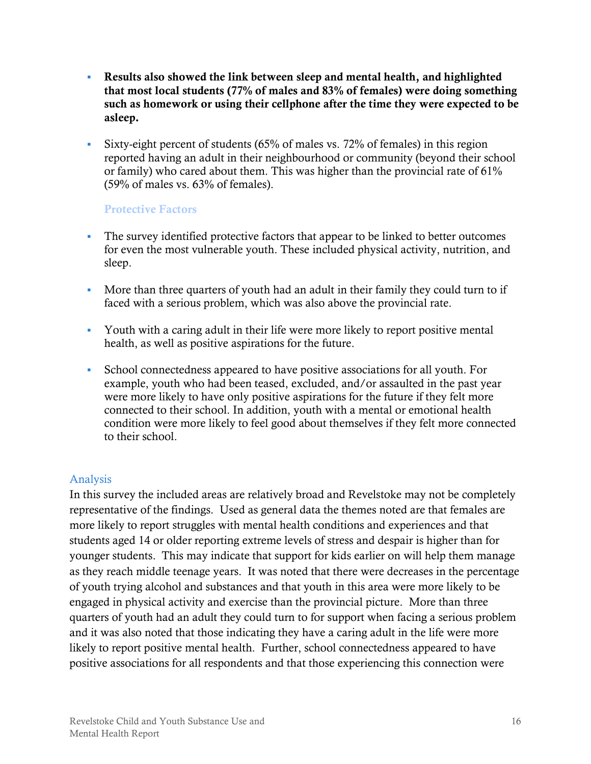- **Results also showed the link between sleep and mental health, and highlighted that most local students (77% of males and 83% of females) were doing something such as homework or using their cellphone after the time they were expected to be asleep.**
- Sixty-eight percent of students (65% of males vs. 72% of females) in this region reported having an adult in their neighbourhood or community (beyond their school or family) who cared about them. This was higher than the provincial rate of 61% (59% of males vs. 63% of females).

#### **Protective Factors**

- The survey identified protective factors that appear to be linked to better outcomes for even the most vulnerable youth. These included physical activity, nutrition, and sleep.
- More than three quarters of youth had an adult in their family they could turn to if faced with a serious problem, which was also above the provincial rate.
- Youth with a caring adult in their life were more likely to report positive mental health, as well as positive aspirations for the future.
- School connectedness appeared to have positive associations for all youth. For example, youth who had been teased, excluded, and/or assaulted in the past year were more likely to have only positive aspirations for the future if they felt more connected to their school. In addition, youth with a mental or emotional health condition were more likely to feel good about themselves if they felt more connected to their school.

#### <span id="page-19-0"></span>Analysis

In this survey the included areas are relatively broad and Revelstoke may not be completely representative of the findings. Used as general data the themes noted are that females are more likely to report struggles with mental health conditions and experiences and that students aged 14 or older reporting extreme levels of stress and despair is higher than for younger students. This may indicate that support for kids earlier on will help them manage as they reach middle teenage years. It was noted that there were decreases in the percentage of youth trying alcohol and substances and that youth in this area were more likely to be engaged in physical activity and exercise than the provincial picture. More than three quarters of youth had an adult they could turn to for support when facing a serious problem and it was also noted that those indicating they have a caring adult in the life were more likely to report positive mental health. Further, school connectedness appeared to have positive associations for all respondents and that those experiencing this connection were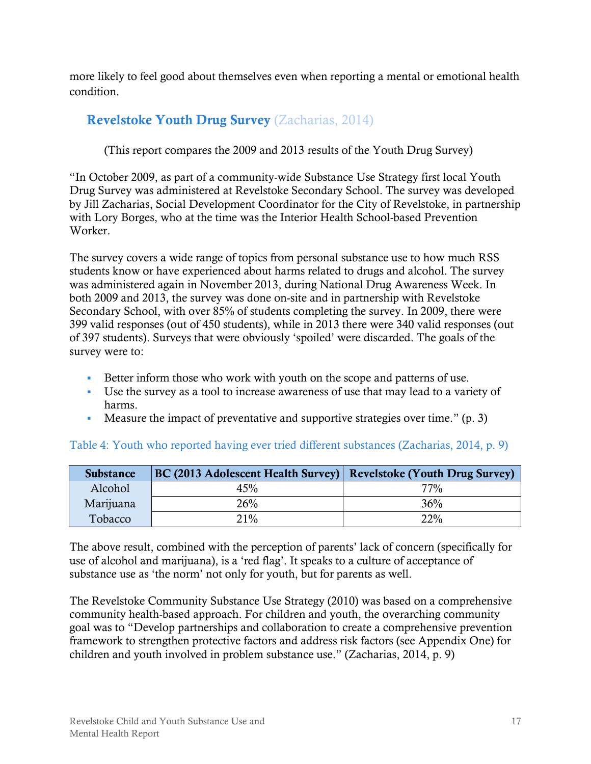more likely to feel good about themselves even when reporting a mental or emotional health condition.

## <span id="page-20-0"></span>**Revelstoke Youth Drug Survey** (Zacharias, 2014)

(This report compares the 2009 and 2013 results of the Youth Drug Survey)

"In October 2009, as part of a community-wide Substance Use Strategy first local Youth Drug Survey was administered at Revelstoke Secondary School. The survey was developed by Jill Zacharias, Social Development Coordinator for the City of Revelstoke, in partnership with Lory Borges, who at the time was the Interior Health School-based Prevention Worker.

The survey covers a wide range of topics from personal substance use to how much RSS students know or have experienced about harms related to drugs and alcohol. The survey was administered again in November 2013, during National Drug Awareness Week. In both 2009 and 2013, the survey was done on-site and in partnership with Revelstoke Secondary School, with over 85% of students completing the survey. In 2009, there were 399 valid responses (out of 450 students), while in 2013 there were 340 valid responses (out of 397 students). Surveys that were obviously 'spoiled' were discarded. The goals of the survey were to:

- Better inform those who work with youth on the scope and patterns of use.
- Use the survey as a tool to increase awareness of use that may lead to a variety of harms.
- Measure the impact of preventative and supportive strategies over time."  $(p, 3)$

| <b>Substance</b> | <b>BC (2013 Adolescent Health Survey)</b> Revelstoke (Youth Drug Survey) |     |
|------------------|--------------------------------------------------------------------------|-----|
| Alcohol          | 45%                                                                      | 77% |
| Marijuana        | 26%                                                                      | 36% |
| Tobacco          | 21%                                                                      | 22% |

#### <span id="page-20-1"></span>Table 4: Youth who reported having ever tried different substances (Zacharias, 2014, p. 9)

The above result, combined with the perception of parents' lack of concern (specifically for use of alcohol and marijuana), is a 'red flag'. It speaks to a culture of acceptance of substance use as 'the norm' not only for youth, but for parents as well.

The Revelstoke Community Substance Use Strategy (2010) was based on a comprehensive community health-based approach. For children and youth, the overarching community goal was to "Develop partnerships and collaboration to create a comprehensive prevention framework to strengthen protective factors and address risk factors (see Appendix One) for children and youth involved in problem substance use." (Zacharias, 2014, p. 9)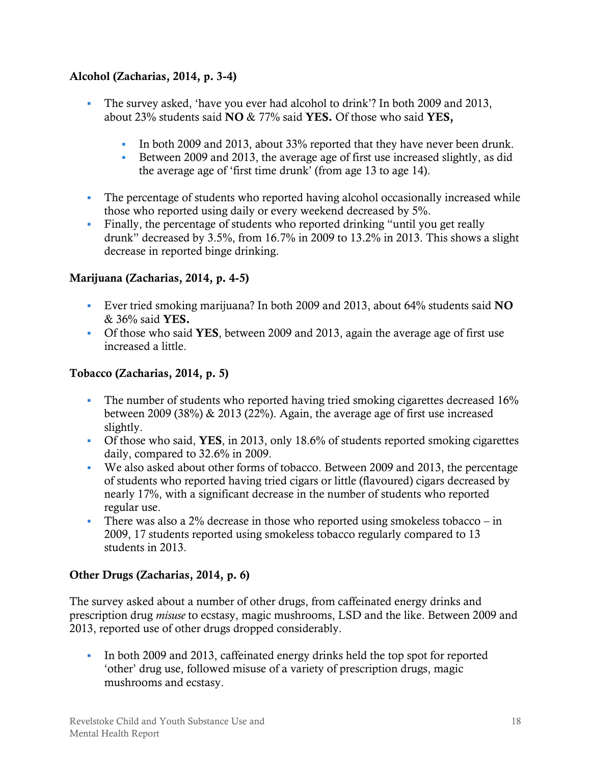#### **Alcohol (Zacharias, 2014, p. 3-4)**

- The survey asked, 'have you ever had alcohol to drink'? In both 2009 and 2013, about 23% students said **NO** & 77% said **YES.** Of those who said **YES,** 
	- In both 2009 and 2013, about 33% reported that they have never been drunk.
	- Between 2009 and 2013, the average age of first use increased slightly, as did the average age of 'first time drunk' (from age 13 to age 14).
- The percentage of students who reported having alcohol occasionally increased while those who reported using daily or every weekend decreased by 5%.
- Finally, the percentage of students who reported drinking "until you get really drunk" decreased by 3.5%, from 16.7% in 2009 to 13.2% in 2013. This shows a slight decrease in reported binge drinking.

#### **Marijuana (Zacharias, 2014, p. 4-5)**

- Ever tried smoking marijuana? In both 2009 and 2013, about 64% students said **NO**  & 36% said **YES.**
- Of those who said **YES**, between 2009 and 2013, again the average age of first use increased a little.

#### **Tobacco (Zacharias, 2014, p. 5)**

- The number of students who reported having tried smoking cigarettes decreased 16% between 2009 (38%) & 2013 (22%). Again, the average age of first use increased slightly.
- Of those who said, **YES**, in 2013, only 18.6% of students reported smoking cigarettes daily, compared to 32.6% in 2009.
- We also asked about other forms of tobacco. Between 2009 and 2013, the percentage of students who reported having tried cigars or little (flavoured) cigars decreased by nearly 17%, with a significant decrease in the number of students who reported regular use.
- There was also a  $2\%$  decrease in those who reported using smokeless tobacco in 2009, 17 students reported using smokeless tobacco regularly compared to 13 students in 2013.

#### **Other Drugs (Zacharias, 2014, p. 6)**

The survey asked about a number of other drugs, from caffeinated energy drinks and prescription drug *misuse* to ecstasy, magic mushrooms, LSD and the like. Between 2009 and 2013, reported use of other drugs dropped considerably.

In both 2009 and 2013, caffeinated energy drinks held the top spot for reported 'other' drug use, followed misuse of a variety of prescription drugs, magic mushrooms and ecstasy.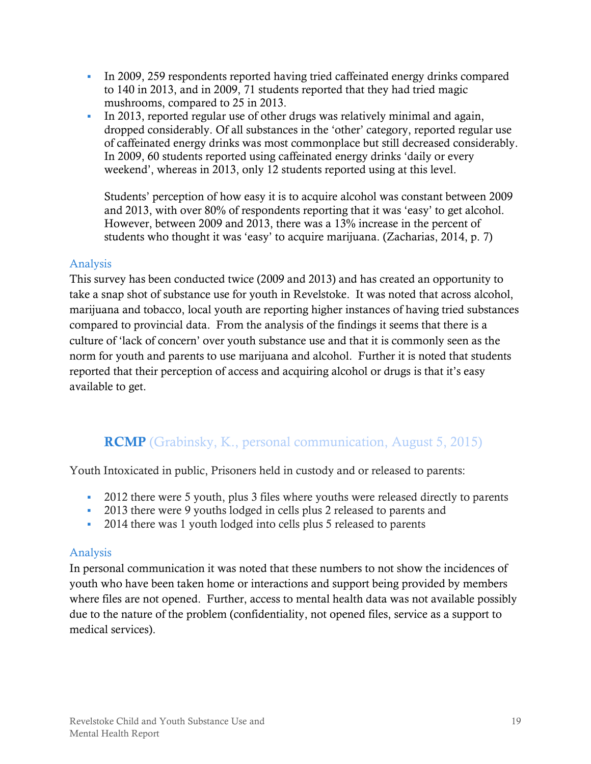- In 2009, 259 respondents reported having tried caffeinated energy drinks compared to 140 in 2013, and in 2009, 71 students reported that they had tried magic mushrooms, compared to 25 in 2013.
- In 2013, reported regular use of other drugs was relatively minimal and again, dropped considerably. Of all substances in the 'other' category, reported regular use of caffeinated energy drinks was most commonplace but still decreased considerably. In 2009, 60 students reported using caffeinated energy drinks 'daily or every weekend', whereas in 2013, only 12 students reported using at this level.

Students' perception of how easy it is to acquire alcohol was constant between 2009 and 2013, with over 80% of respondents reporting that it was 'easy' to get alcohol. However, between 2009 and 2013, there was a 13% increase in the percent of students who thought it was 'easy' to acquire marijuana. (Zacharias, 2014, p. 7)

#### <span id="page-22-0"></span>Analysis

This survey has been conducted twice (2009 and 2013) and has created an opportunity to take a snap shot of substance use for youth in Revelstoke. It was noted that across alcohol, marijuana and tobacco, local youth are reporting higher instances of having tried substances compared to provincial data. From the analysis of the findings it seems that there is a culture of 'lack of concern' over youth substance use and that it is commonly seen as the norm for youth and parents to use marijuana and alcohol. Further it is noted that students reported that their perception of access and acquiring alcohol or drugs is that it's easy available to get.

## **RCMP** (Grabinsky, K., personal communication, August 5, 2015)

<span id="page-22-1"></span>Youth Intoxicated in public, Prisoners held in custody and or released to parents:

- 2012 there were 5 youth, plus 3 files where youths were released directly to parents
- 2013 there were 9 youths lodged in cells plus 2 released to parents and
- <sup>2014</sup> there was 1 youth lodged into cells plus 5 released to parents

#### <span id="page-22-2"></span>Analysis

In personal communication it was noted that these numbers to not show the incidences of youth who have been taken home or interactions and support being provided by members where files are not opened. Further, access to mental health data was not available possibly due to the nature of the problem (confidentiality, not opened files, service as a support to medical services).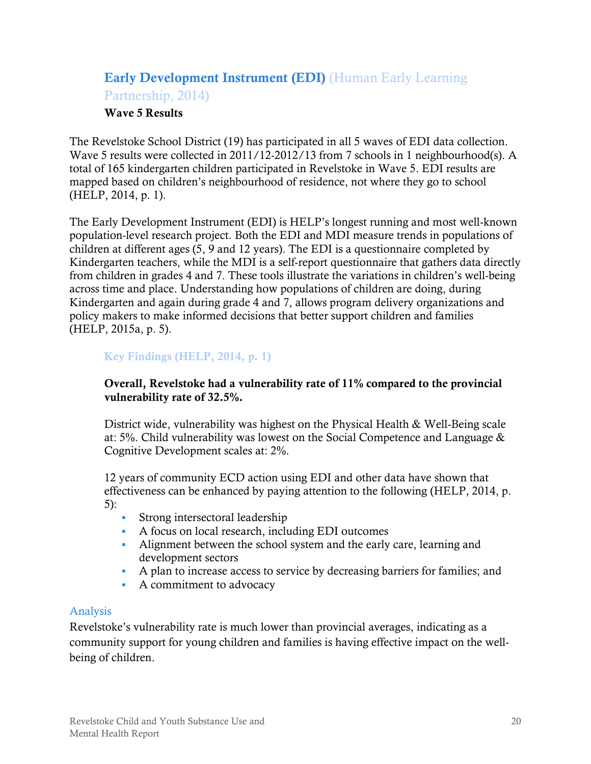## <span id="page-23-0"></span>**Early Development Instrument (EDI)** (Human Early Learning Partnership, 2014)

#### **Wave 5 Results**

The Revelstoke School District (19) has participated in all 5 waves of EDI data collection. Wave 5 results were collected in 2011/12-2012/13 from 7 schools in 1 neighbourhood(s). A total of 165 kindergarten children participated in Revelstoke in Wave 5. EDI results are mapped based on children's neighbourhood of residence, not where they go to school (HELP, 2014, p. 1).

The Early Development Instrument (EDI) is HELP's longest running and most well-known population-level research project. Both the EDI and MDI measure trends in populations of children at different ages (5, 9 and 12 years). The EDI is a questionnaire completed by Kindergarten teachers, while the MDI is a self-report questionnaire that gathers data directly from children in grades 4 and 7. These tools illustrate the variations in children's well-being across time and place. Understanding how populations of children are doing, during Kindergarten and again during grade 4 and 7, allows program delivery organizations and policy makers to make informed decisions that better support children and families (HELP, 2015a, p. 5).

#### **Key Findings (HELP, 2014, p. 1)**

#### **Overall, Revelstoke had a vulnerability rate of 11% compared to the provincial vulnerability rate of 32.5%.**

District wide, vulnerability was highest on the Physical Health & Well-Being scale at: 5%. Child vulnerability was lowest on the Social Competence and Language & Cognitive Development scales at: 2%.

12 years of community ECD action using EDI and other data have shown that effectiveness can be enhanced by paying attention to the following (HELP, 2014, p. 5):

- **Strong intersectoral leadership**
- A focus on local research, including EDI outcomes
- Alignment between the school system and the early care, learning and development sectors
- A plan to increase access to service by decreasing barriers for families; and
- A commitment to advocacy

#### <span id="page-23-1"></span>Analysis

Revelstoke's vulnerability rate is much lower than provincial averages, indicating as a community support for young children and families is having effective impact on the wellbeing of children.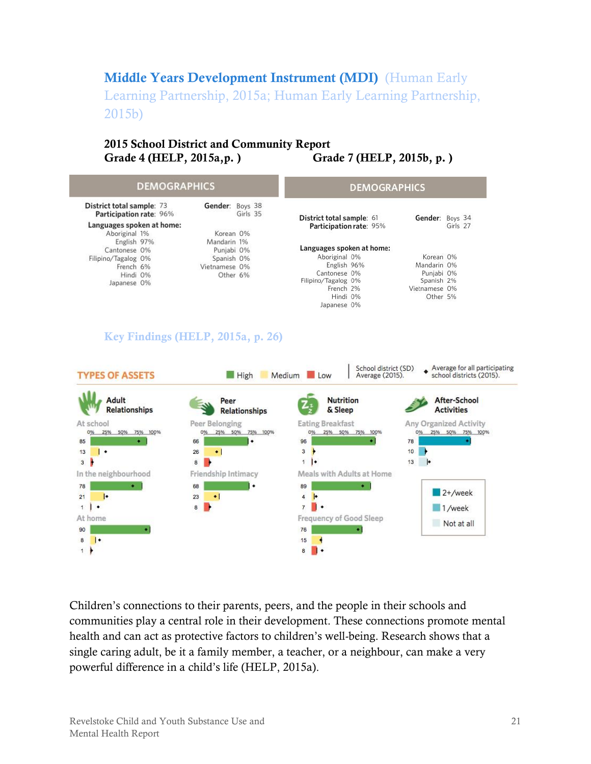## <span id="page-24-0"></span>**Middle Years Development Instrument (MDI)** (Human Early

Learning Partnership, 2015a; Human Early Learning Partnership, 2015b)

#### **2015 School District and Community Report Grade 4 (HELP, 2015a,p. ) Grade 7 (HELP, 2015b, p. )**

| <b>DEMOGRAPHICS</b>                                  |                 |          |                           | <b>DEMOGRAPHICS</b> |          |
|------------------------------------------------------|-----------------|----------|---------------------------|---------------------|----------|
| District total sample: 73<br>Participation rate: 96% | Gender: Boys 38 | Girls 35 | District total sample: 61 | Gender:             | Boys 34  |
| Languages spoken at home:                            |                 |          | Participation rate: 95%   |                     | Girls 27 |
| Aboriginal 1%                                        | Korean 0%       |          |                           |                     |          |
| English 97%                                          | Mandarin 1%     |          |                           |                     |          |
| Cantonese 0%                                         | Punjabi 0%      |          | Languages spoken at home: |                     |          |
| Filipino/Tagalog 0%                                  | Spanish 0%      |          | Aboriginal 0%             | Korean 0%           |          |
| French 6%                                            | Vietnamese 0%   |          | English 96%               | Mandarin 0%         |          |
| Hindi 0%                                             | Other 6%        |          | Cantonese 0%              | Punjabi 0%          |          |
| Japanese 0%                                          |                 |          | Filipino/Tagalog 0%       | Spanish 2%          |          |
|                                                      |                 |          | French 2%                 | Vietnamese 0%       |          |
|                                                      |                 |          | Hindi 0%                  | Other 5%            |          |
|                                                      |                 |          | Japanese 0%               |                     |          |

#### **Key Findings (HELP, 2015a, p. 26)**



Children's connections to their parents, peers, and the people in their schools and communities play a central role in their development. These connections promote mental health and can act as protective factors to children's well-being. Research shows that a single caring adult, be it a family member, a teacher, or a neighbour, can make a very powerful difference in a child's life (HELP, 2015a).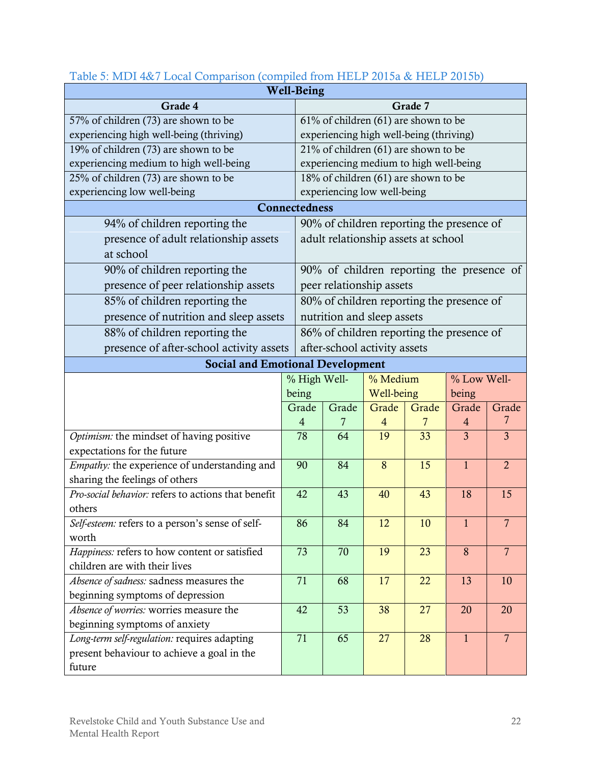| <b>Well-Being</b>                                                          |                                                                          |                                           |            |       |                |                |
|----------------------------------------------------------------------------|--------------------------------------------------------------------------|-------------------------------------------|------------|-------|----------------|----------------|
| Grade 4                                                                    |                                                                          | Grade 7                                   |            |       |                |                |
| 57% of children (73) are shown to be                                       |                                                                          | 61% of children (61) are shown to be      |            |       |                |                |
| experiencing high well-being (thriving)                                    |                                                                          | experiencing high well-being (thriving)   |            |       |                |                |
| 19% of children (73) are shown to be                                       |                                                                          | 21% of children (61) are shown to be      |            |       |                |                |
| experiencing medium to high well-being                                     |                                                                          | experiencing medium to high well-being    |            |       |                |                |
| 25% of children (73) are shown to be                                       |                                                                          | 18% of children (61) are shown to be      |            |       |                |                |
| experiencing low well-being                                                |                                                                          | experiencing low well-being               |            |       |                |                |
|                                                                            | Connectedness                                                            |                                           |            |       |                |                |
| 94% of children reporting the                                              |                                                                          | 90% of children reporting the presence of |            |       |                |                |
| presence of adult relationship assets                                      |                                                                          | adult relationship assets at school       |            |       |                |                |
| at school                                                                  |                                                                          |                                           |            |       |                |                |
| 90% of children reporting the                                              |                                                                          | 90% of children reporting the presence of |            |       |                |                |
| presence of peer relationship assets                                       |                                                                          | peer relationship assets                  |            |       |                |                |
| 85% of children reporting the                                              |                                                                          | 80% of children reporting the presence of |            |       |                |                |
| presence of nutrition and sleep assets                                     |                                                                          | nutrition and sleep assets                |            |       |                |                |
| 88% of children reporting the<br>86% of children reporting the presence of |                                                                          |                                           |            |       |                |                |
|                                                                            | presence of after-school activity assets<br>after-school activity assets |                                           |            |       |                |                |
| <b>Social and Emotional Development</b>                                    |                                                                          |                                           |            |       |                |                |
|                                                                            |                                                                          | % High Well-                              | % Medium   |       | % Low Well-    |                |
|                                                                            | being                                                                    |                                           | Well-being |       | being          |                |
| Grade                                                                      |                                                                          | Grade                                     | Grade      | Grade | Grade          | Grade          |
|                                                                            | 4                                                                        | 7                                         | 4          | 7     | 4              | 7              |
| Optimism: the mindset of having positive                                   | 78                                                                       | 64                                        | 19         | 33    | $\overline{3}$ | $\overline{3}$ |
| expectations for the future                                                |                                                                          |                                           |            |       |                |                |
| Empathy: the experience of understanding and                               | 90                                                                       | 84                                        | 8          | 15    | $\mathbf{1}$   | $\overline{2}$ |
| sharing the feelings of others                                             |                                                                          |                                           |            |       |                |                |
| Pro-social behavior: refers to actions that benefit                        | 42                                                                       | 43                                        | 40         | 43    | 18             | 15             |
| others                                                                     |                                                                          |                                           |            |       |                |                |
| Self-esteem: refers to a person's sense of self-                           | 86                                                                       | 84                                        | 12         | 10    | 1              | $\overline{7}$ |
| worth                                                                      |                                                                          |                                           |            |       |                |                |
| Happiness: refers to how content or satisfied                              |                                                                          | 70                                        | 19         | 23    | 8              | $\overline{7}$ |
| children are with their lives                                              | 71                                                                       |                                           |            |       |                |                |
| Absence of sadness: sadness measures the                                   |                                                                          | 68                                        | 17         | 22    | 13             | 10             |
| beginning symptoms of depression                                           |                                                                          |                                           |            |       |                |                |
| Absence of worries: worries measure the                                    | 42                                                                       | 53                                        | 38         | 27    | 20             | 20             |
| beginning symptoms of anxiety                                              |                                                                          |                                           |            |       |                |                |
| Long-term self-regulation: requires adapting                               | 71                                                                       | 65                                        | 27         | 28    | $\mathbf{1}$   | $\overline{7}$ |
| present behaviour to achieve a goal in the                                 |                                                                          |                                           |            |       |                |                |
| future                                                                     |                                                                          |                                           |            |       |                |                |

### <span id="page-25-0"></span>Table 5: MDI 4&7 Local Comparison (compiled from HELP 2015a & HELP 2015b)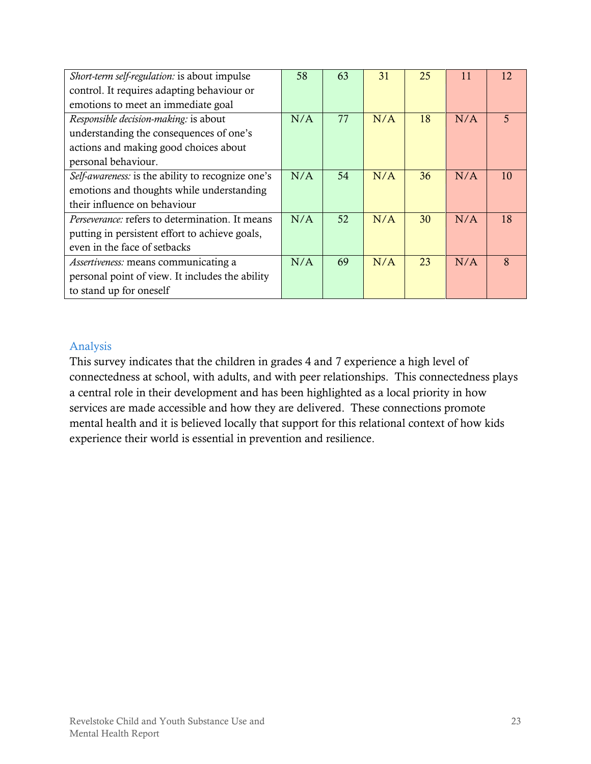| Short-term self-regulation: is about impulse           | 58  | 63 | 31  | 25 | 11  | 12             |
|--------------------------------------------------------|-----|----|-----|----|-----|----------------|
| control. It requires adapting behaviour or             |     |    |     |    |     |                |
| emotions to meet an immediate goal                     |     |    |     |    |     |                |
| Responsible decision-making: is about                  | N/A | 77 | N/A | 18 | N/A | $\overline{5}$ |
| understanding the consequences of one's                |     |    |     |    |     |                |
| actions and making good choices about                  |     |    |     |    |     |                |
| personal behaviour.                                    |     |    |     |    |     |                |
| Self-awareness: is the ability to recognize one's      | N/A | 54 | N/A | 36 | N/A | 10             |
| emotions and thoughts while understanding              |     |    |     |    |     |                |
| their influence on behaviour                           |     |    |     |    |     |                |
| <i>Perseverance:</i> refers to determination. It means | N/A | 52 | N/A | 30 | N/A | 18             |
| putting in persistent effort to achieve goals,         |     |    |     |    |     |                |
| even in the face of setbacks                           |     |    |     |    |     |                |
| Assertiveness: means communicating a                   | N/A | 69 | N/A | 23 | N/A | 8              |
| personal point of view. It includes the ability        |     |    |     |    |     |                |
| to stand up for oneself                                |     |    |     |    |     |                |

#### <span id="page-26-0"></span>Analysis

This survey indicates that the children in grades 4 and 7 experience a high level of connectedness at school, with adults, and with peer relationships. This connectedness plays a central role in their development and has been highlighted as a local priority in how services are made accessible and how they are delivered. These connections promote mental health and it is believed locally that support for this relational context of how kids experience their world is essential in prevention and resilience.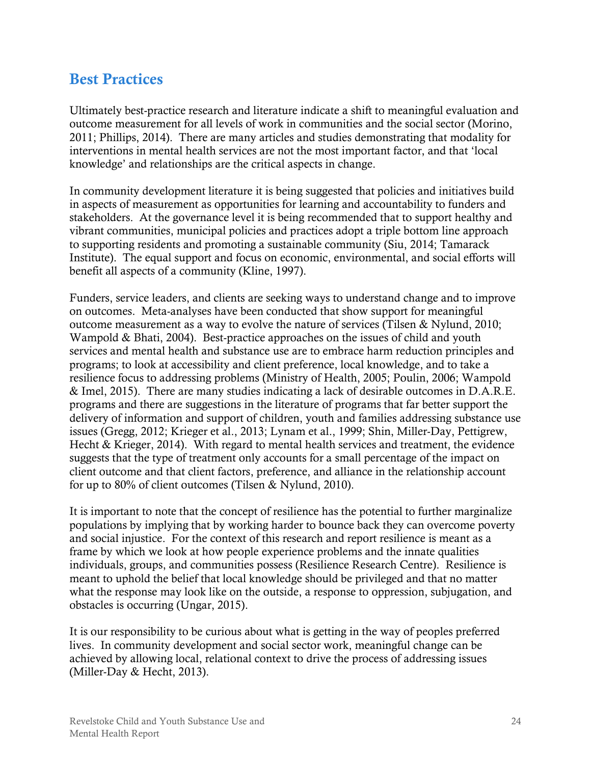## <span id="page-27-0"></span>**Best Practices**

Ultimately best-practice research and literature indicate a shift to meaningful evaluation and outcome measurement for all levels of work in communities and the social sector (Morino, 2011; Phillips, 2014). There are many articles and studies demonstrating that modality for interventions in mental health services are not the most important factor, and that 'local knowledge' and relationships are the critical aspects in change.

In community development literature it is being suggested that policies and initiatives build in aspects of measurement as opportunities for learning and accountability to funders and stakeholders. At the governance level it is being recommended that to support healthy and vibrant communities, municipal policies and practices adopt a triple bottom line approach to supporting residents and promoting a sustainable community (Siu, 2014; Tamarack Institute). The equal support and focus on economic, environmental, and social efforts will benefit all aspects of a community (Kline, 1997).

Funders, service leaders, and clients are seeking ways to understand change and to improve on outcomes. Meta-analyses have been conducted that show support for meaningful outcome measurement as a way to evolve the nature of services (Tilsen & Nylund, 2010; Wampold & Bhati, 2004). Best-practice approaches on the issues of child and youth services and mental health and substance use are to embrace harm reduction principles and programs; to look at accessibility and client preference, local knowledge, and to take a resilience focus to addressing problems (Ministry of Health, 2005; Poulin, 2006; Wampold & Imel, 2015). There are many studies indicating a lack of desirable outcomes in D.A.R.E. programs and there are suggestions in the literature of programs that far better support the delivery of information and support of children, youth and families addressing substance use issues (Gregg, 2012; Krieger et al., 2013; Lynam et al., 1999; Shin, Miller-Day, Pettigrew, Hecht & Krieger, 2014). With regard to mental health services and treatment, the evidence suggests that the type of treatment only accounts for a small percentage of the impact on client outcome and that client factors, preference, and alliance in the relationship account for up to 80% of client outcomes (Tilsen & Nylund, 2010).

It is important to note that the concept of resilience has the potential to further marginalize populations by implying that by working harder to bounce back they can overcome poverty and social injustice. For the context of this research and report resilience is meant as a frame by which we look at how people experience problems and the innate qualities individuals, groups, and communities possess (Resilience Research Centre). Resilience is meant to uphold the belief that local knowledge should be privileged and that no matter what the response may look like on the outside, a response to oppression, subjugation, and obstacles is occurring (Ungar, 2015).

It is our responsibility to be curious about what is getting in the way of peoples preferred lives. In community development and social sector work, meaningful change can be achieved by allowing local, relational context to drive the process of addressing issues (Miller-Day & Hecht, 2013).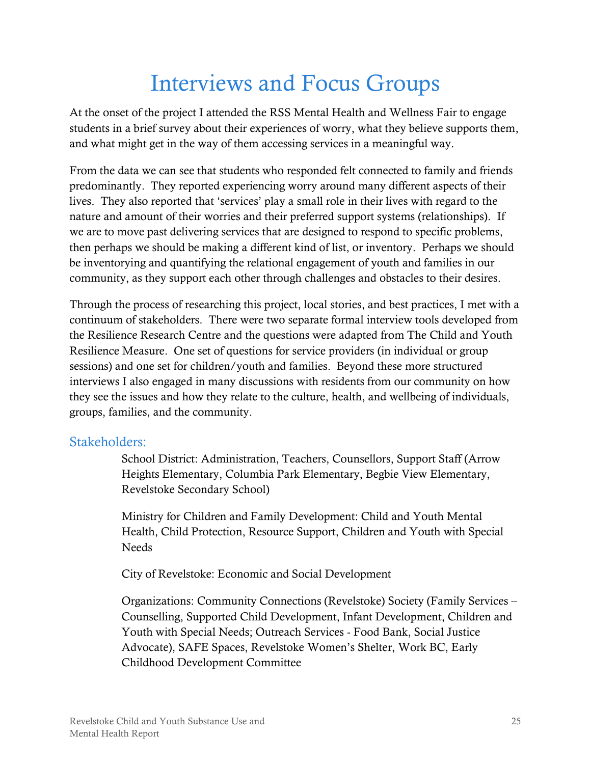## Interviews and Focus Groups

<span id="page-28-0"></span>At the onset of the project I attended the RSS Mental Health and Wellness Fair to engage students in a brief survey about their experiences of worry, what they believe supports them, and what might get in the way of them accessing services in a meaningful way.

From the data we can see that students who responded felt connected to family and friends predominantly. They reported experiencing worry around many different aspects of their lives. They also reported that 'services' play a small role in their lives with regard to the nature and amount of their worries and their preferred support systems (relationships). If we are to move past delivering services that are designed to respond to specific problems, then perhaps we should be making a different kind of list, or inventory. Perhaps we should be inventorying and quantifying the relational engagement of youth and families in our community, as they support each other through challenges and obstacles to their desires.

Through the process of researching this project, local stories, and best practices, I met with a continuum of stakeholders. There were two separate formal interview tools developed from the Resilience Research Centre and the questions were adapted from The Child and Youth Resilience Measure. One set of questions for service providers (in individual or group sessions) and one set for children/youth and families. Beyond these more structured interviews I also engaged in many discussions with residents from our community on how they see the issues and how they relate to the culture, health, and wellbeing of individuals, groups, families, and the community.

### <span id="page-28-1"></span>Stakeholders:

School District: Administration, Teachers, Counsellors, Support Staff (Arrow Heights Elementary, Columbia Park Elementary, Begbie View Elementary, Revelstoke Secondary School)

Ministry for Children and Family Development: Child and Youth Mental Health, Child Protection, Resource Support, Children and Youth with Special Needs

City of Revelstoke: Economic and Social Development

Organizations: Community Connections (Revelstoke) Society (Family Services – Counselling, Supported Child Development, Infant Development, Children and Youth with Special Needs; Outreach Services - Food Bank, Social Justice Advocate), SAFE Spaces, Revelstoke Women's Shelter, Work BC, Early Childhood Development Committee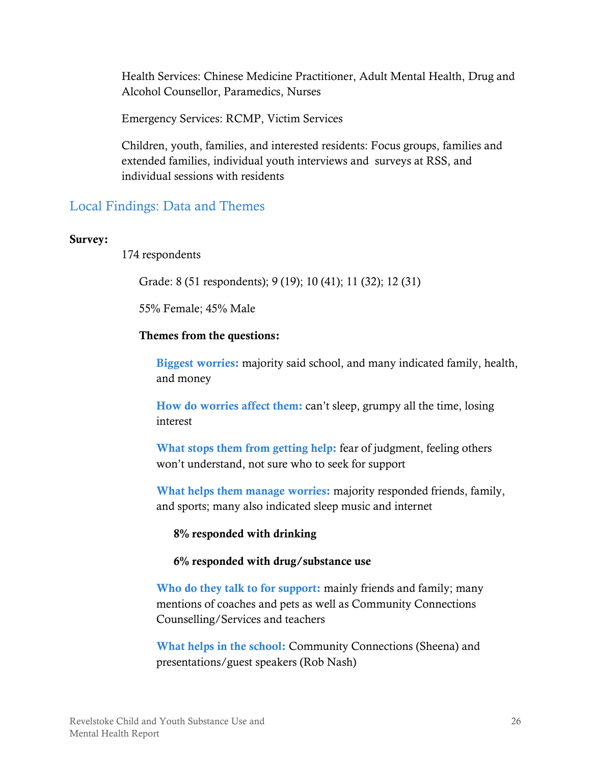Health Services: Chinese Medicine Practitioner, Adult Mental Health, Drug and Alcohol Counsellor, Paramedics, Nurses

Emergency Services: RCMP, Victim Services

Children, youth, families, and interested residents: Focus groups, families and extended families, individual youth interviews and surveys at RSS, and individual sessions with residents

## <span id="page-29-0"></span>Local Findings: Data and Themes

#### **Survey:**

174 respondents

Grade: 8 (51 respondents); 9 (19); 10 (41); 11 (32); 12 (31)

55% Female; 45% Male

#### **Themes from the questions:**

**Biggest worries:** majority said school, and many indicated family, health, and money

**How do worries affect them:** can't sleep, grumpy all the time, losing interest

What stops them from getting help: fear of judgment, feeling others won't understand, not sure who to seek for support

**What helps them manage worries:** majority responded friends, family, and sports; many also indicated sleep music and internet

**8% responded with drinking**

**6% responded with drug/substance use**

**Who do they talk to for support:** mainly friends and family; many mentions of coaches and pets as well as Community Connections Counselling/Services and teachers

**What helps in the school:** Community Connections (Sheena) and presentations/guest speakers (Rob Nash)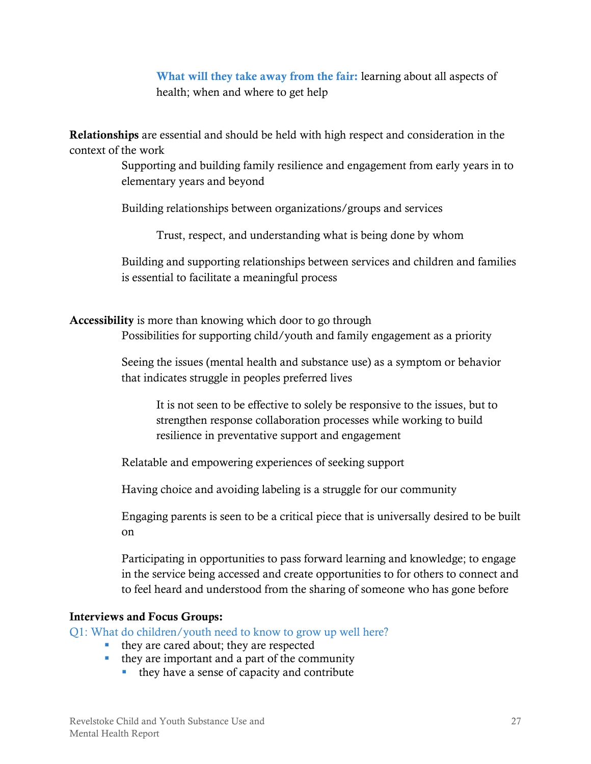**What will they take away from the fair:** learning about all aspects of health; when and where to get help

**Relationships** are essential and should be held with high respect and consideration in the context of the work

> Supporting and building family resilience and engagement from early years in to elementary years and beyond

Building relationships between organizations/groups and services

Trust, respect, and understanding what is being done by whom

Building and supporting relationships between services and children and families is essential to facilitate a meaningful process

**Accessibility** is more than knowing which door to go through

Possibilities for supporting child/youth and family engagement as a priority

Seeing the issues (mental health and substance use) as a symptom or behavior that indicates struggle in peoples preferred lives

It is not seen to be effective to solely be responsive to the issues, but to strengthen response collaboration processes while working to build resilience in preventative support and engagement

Relatable and empowering experiences of seeking support

Having choice and avoiding labeling is a struggle for our community

Engaging parents is seen to be a critical piece that is universally desired to be built on

Participating in opportunities to pass forward learning and knowledge; to engage in the service being accessed and create opportunities to for others to connect and to feel heard and understood from the sharing of someone who has gone before

#### **Interviews and Focus Groups:**

Q1: What do children/youth need to know to grow up well here?

- they are cared about; they are respected
- $\blacksquare$  they are important and a part of the community
	- they have a sense of capacity and contribute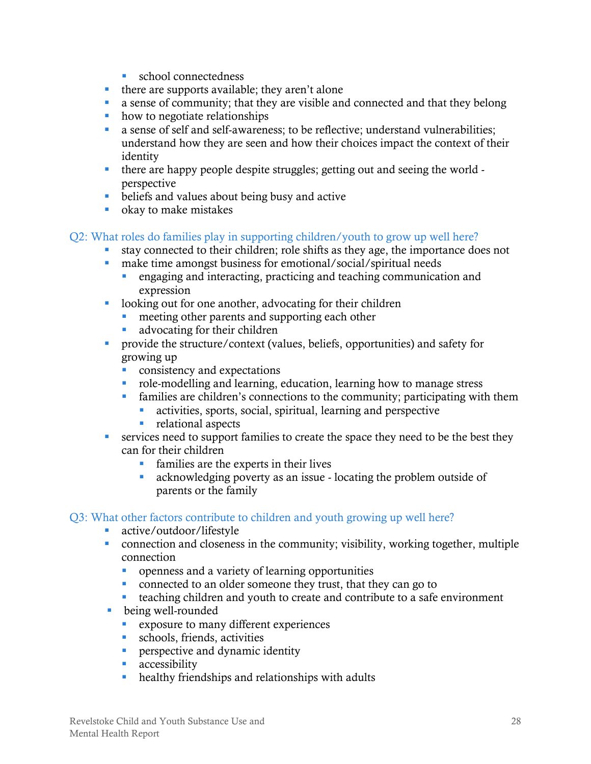- **school connectedness**
- there are supports available; they aren't alone
- a sense of community; that they are visible and connected and that they belong
- how to negotiate relationships
- a sense of self and self-awareness; to be reflective; understand vulnerabilities; understand how they are seen and how their choices impact the context of their identity
- there are happy people despite struggles; getting out and seeing the world perspective
- **beliefs and values about being busy and active**
- **•** okay to make mistakes

#### Q2: What roles do families play in supporting children/youth to grow up well here?

- stay connected to their children; role shifts as they age, the importance does not
- make time amongst business for emotional/social/spiritual needs
	- engaging and interacting, practicing and teaching communication and expression
- **-** looking out for one another, advocating for their children
	- **n** meeting other parents and supporting each other
	- advocating for their children
- provide the structure/context (values, beliefs, opportunities) and safety for growing up
	- **CONSISTED CONSISTENCY AND EXPECTATIONS**
	- role-modelling and learning, education, learning how to manage stress
	- families are children's connections to the community; participating with them
		- activities, sports, social, spiritual, learning and perspective
		- **relational aspects**
- services need to support families to create the space they need to be the best they can for their children
	- **families are the experts in their lives**
	- acknowledging poverty as an issue locating the problem outside of parents or the family

#### Q3: What other factors contribute to children and youth growing up well here?

- **active/outdoor/lifestyle**
- connection and closeness in the community; visibility, working together, multiple connection
	- openness and a variety of learning opportunities
	- connected to an older someone they trust, that they can go to
	- teaching children and youth to create and contribute to a safe environment
- being well-rounded
	- exposure to many different experiences<br>• schools. friends. activities
	- schools, friends, activities
	- **PERS** perspective and dynamic identity
	- **accessibility**
	- healthy friendships and relationships with adults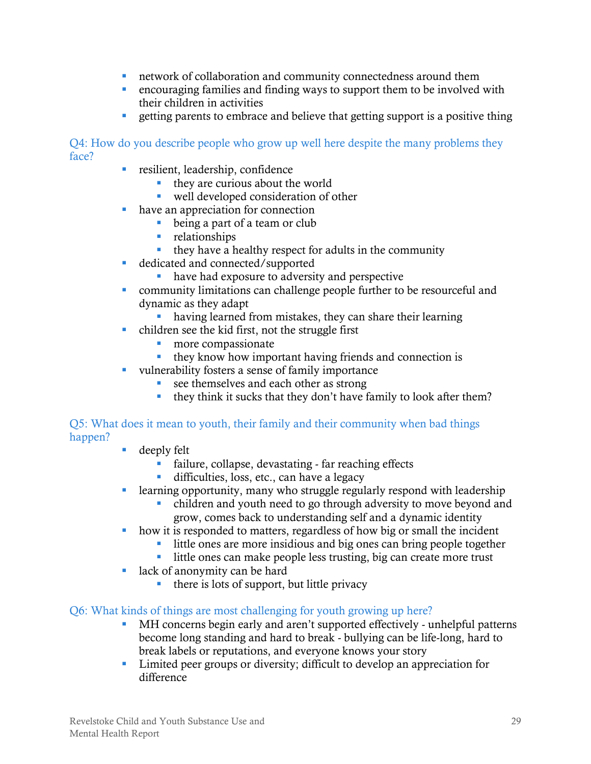- network of collaboration and community connectedness around them
- encouraging families and finding ways to support them to be involved with their children in activities
- **Example 1** getting parents to embrace and believe that getting support is a positive thing

Q4: How do you describe people who grow up well here despite the many problems they face?

- **resilient, leadership, confidence** 
	- $\blacksquare$  they are curious about the world
	- well developed consideration of other
- have an appreciation for connection
	- being a part of a team or club
	- **relationships**
	- $\blacksquare$  they have a healthy respect for adults in the community
- dedicated and connected/supported
	- have had exposure to adversity and perspective
- community limitations can challenge people further to be resourceful and dynamic as they adapt
	- having learned from mistakes, they can share their learning
- children see the kid first, not the struggle first
	- **n** more compassionate
	- they know how important having friends and connection is
- vulnerability fosters a sense of family importance
	- see themselves and each other as strong
	- they think it sucks that they don't have family to look after them?

#### Q5: What does it mean to youth, their family and their community when bad things happen?

- deeply felt
	- failure, collapse, devastating far reaching effects
	- difficulties, loss, etc., can have a legacy
- learning opportunity, many who struggle regularly respond with leadership
	- children and youth need to go through adversity to move beyond and grow, comes back to understanding self and a dynamic identity
- how it is responded to matters, regardless of how big or small the incident
	- little ones are more insidious and big ones can bring people together
	- little ones can make people less trusting, big can create more trust
- **lack of anonymity can be hard** 
	- $\blacksquare$  there is lots of support, but little privacy

#### Q6: What kinds of things are most challenging for youth growing up here?

- MH concerns begin early and aren't supported effectively unhelpful patterns become long standing and hard to break - bullying can be life-long, hard to break labels or reputations, and everyone knows your story
- **EXECUTE:** Limited peer groups or diversity; difficult to develop an appreciation for difference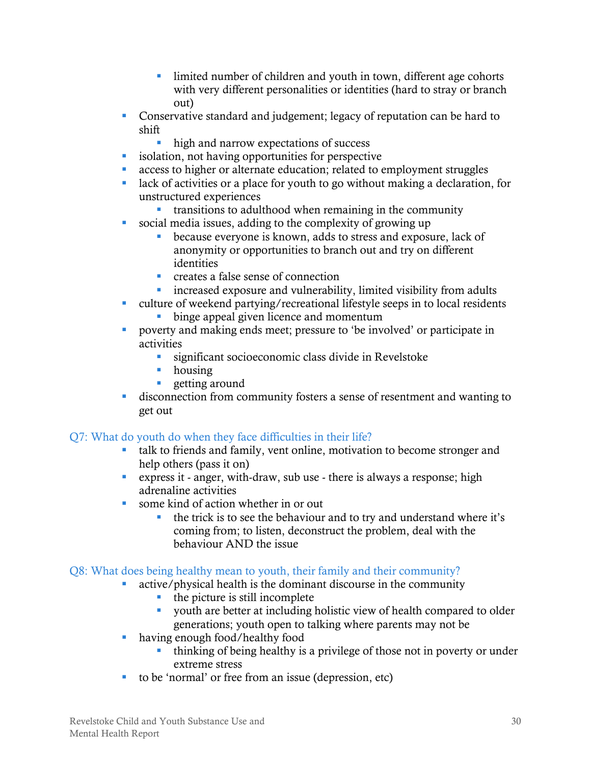- limited number of children and youth in town, different age cohorts with very different personalities or identities (hard to stray or branch out)
- Conservative standard and judgement; legacy of reputation can be hard to shift
	- high and narrow expectations of success
- **isolation, not having opportunities for perspective**
- access to higher or alternate education; related to employment struggles
- lack of activities or a place for youth to go without making a declaration, for unstructured experiences
	- transitions to adulthood when remaining in the community
- social media issues, adding to the complexity of growing up
	- because everyone is known, adds to stress and exposure, lack of anonymity or opportunities to branch out and try on different identities
	- **Creates a false sense of connection**
	- **increased exposure and vulnerability, limited visibility from adults**
- culture of weekend partying/recreational lifestyle seeps in to local residents **binge appeal given licence and momentum**
- poverty and making ends meet; pressure to 'be involved' or participate in activities
	- significant socioeconomic class divide in Revelstoke
	- **housing**
	- **getting around**
- disconnection from community fosters a sense of resentment and wanting to get out

#### Q7: What do youth do when they face difficulties in their life?

- talk to friends and family, vent online, motivation to become stronger and help others (pass it on)
- express it anger, with-draw, sub use there is always a response; high adrenaline activities
- some kind of action whether in or out
	- the trick is to see the behaviour and to try and understand where it's coming from; to listen, deconstruct the problem, deal with the behaviour AND the issue

#### Q8: What does being healthy mean to youth, their family and their community?

- active/physical health is the dominant discourse in the community
	- the picture is still incomplete
	- youth are better at including holistic view of health compared to older generations; youth open to talking where parents may not be
- having enough food/healthy food
	- thinking of being healthy is a privilege of those not in poverty or under extreme stress
- to be 'normal' or free from an issue (depression, etc)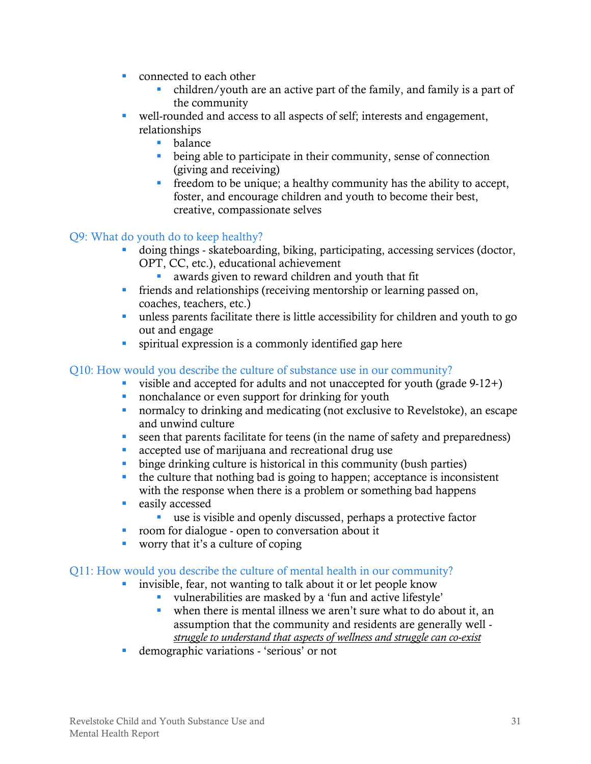- **Connected to each other** 
	- children/youth are an active part of the family, and family is a part of the community
- well-rounded and access to all aspects of self; interests and engagement, relationships
	- **balance**
	- being able to participate in their community, sense of connection (giving and receiving)
	- $\blacksquare$  freedom to be unique; a healthy community has the ability to accept, foster, and encourage children and youth to become their best, creative, compassionate selves

#### Q9: What do youth do to keep healthy?

- doing things skateboarding, biking, participating, accessing services (doctor, OPT, CC, etc.), educational achievement
	- awards given to reward children and youth that fit
- friends and relationships (receiving mentorship or learning passed on, coaches, teachers, etc.)
- unless parents facilitate there is little accessibility for children and youth to go out and engage
- spiritual expression is a commonly identified gap here

#### Q10: How would you describe the culture of substance use in our community?

- visible and accepted for adults and not unaccepted for youth (grade  $9-12+$ )
- nonchalance or even support for drinking for youth
- normalcy to drinking and medicating (not exclusive to Revelstoke), an escape and unwind culture
- seen that parents facilitate for teens (in the name of safety and preparedness)
- **accepted use of marijuana and recreational drug use**
- binge drinking culture is historical in this community (bush parties)
- the culture that nothing bad is going to happen; acceptance is inconsistent with the response when there is a problem or something bad happens
- **e** easily accessed
	- use is visible and openly discussed, perhaps a protective factor
- **•** room for dialogue open to conversation about it
- worry that it's a culture of coping

#### Q11: How would you describe the culture of mental health in our community?

- invisible, fear, not wanting to talk about it or let people know
	- vulnerabilities are masked by a 'fun and active lifestyle'
	- when there is mental illness we aren't sure what to do about it, an assumption that the community and residents are generally well *struggle to understand that aspects of wellness and struggle can co-exist*
- demographic variations 'serious' or not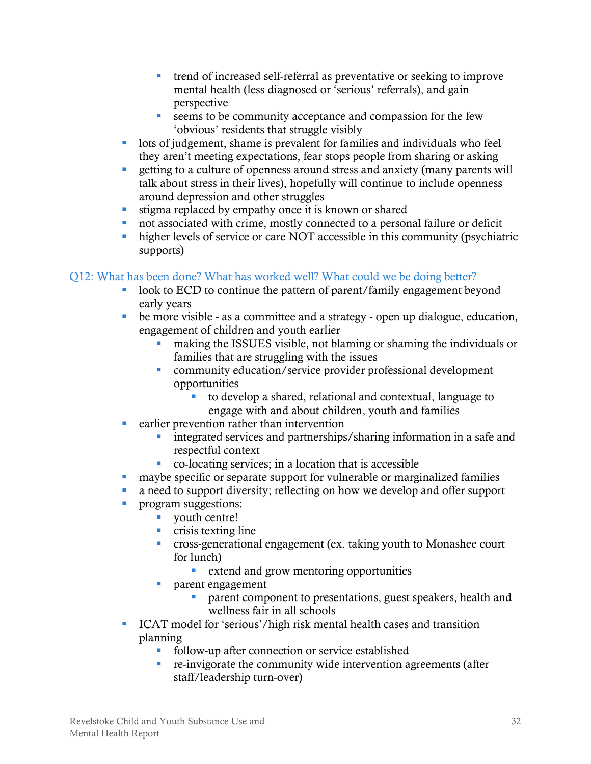- trend of increased self-referral as preventative or seeking to improve mental health (less diagnosed or 'serious' referrals), and gain perspective
- seems to be community acceptance and compassion for the few 'obvious' residents that struggle visibly
- lots of judgement, shame is prevalent for families and individuals who feel they aren't meeting expectations, fear stops people from sharing or asking
- **Example 1** a culture of openness around stress and anxiety (many parents will talk about stress in their lives), hopefully will continue to include openness around depression and other struggles
- stigma replaced by empathy once it is known or shared
- not associated with crime, mostly connected to a personal failure or deficit
- higher levels of service or care NOT accessible in this community (psychiatric supports)

#### Q12: What has been done? What has worked well? What could we be doing better?

- look to ECD to continue the pattern of parent/family engagement beyond early years
- be more visible as a committee and a strategy open up dialogue, education, engagement of children and youth earlier
	- making the ISSUES visible, not blaming or shaming the individuals or families that are struggling with the issues
	- community education/service provider professional development opportunities
		- to develop a shared, relational and contextual, language to engage with and about children, youth and families
- **e** earlier prevention rather than intervention
	- **integrated services and partnerships/sharing information in a safe and** respectful context
	- co-locating services; in a location that is accessible
- maybe specific or separate support for vulnerable or marginalized families
- a need to support diversity; reflecting on how we develop and offer support
- **program suggestions:** 
	- vouth centre!
	- crisis texting line
	- cross-generational engagement (ex. taking youth to Monashee court for lunch)
		- **EXTER 1** extend and grow mentoring opportunities
	- **parent engagement** 
		- **PEDRIM** parent component to presentations, guest speakers, health and wellness fair in all schools
- ICAT model for 'serious'/high risk mental health cases and transition planning
	- follow-up after connection or service established
	- re-invigorate the community wide intervention agreements (after staff/leadership turn-over)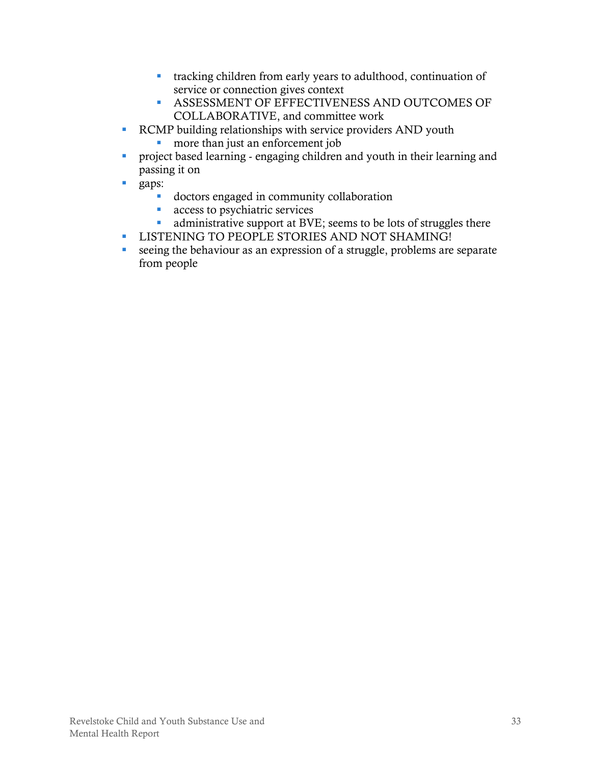- tracking children from early years to adulthood, continuation of service or connection gives context
- ASSESSMENT OF EFFECTIVENESS AND OUTCOMES OF COLLABORATIVE, and committee work
- RCMP building relationships with service providers AND youth
	- **n** more than just an enforcement job
- project based learning engaging children and youth in their learning and passing it on
- **gaps:** 
	- doctors engaged in community collaboration
	- **access to psychiatric services**
	- administrative support at BVE; seems to be lots of struggles there
- **LISTENING TO PEOPLE STORIES AND NOT SHAMING!**
- seeing the behaviour as an expression of a struggle, problems are separate from people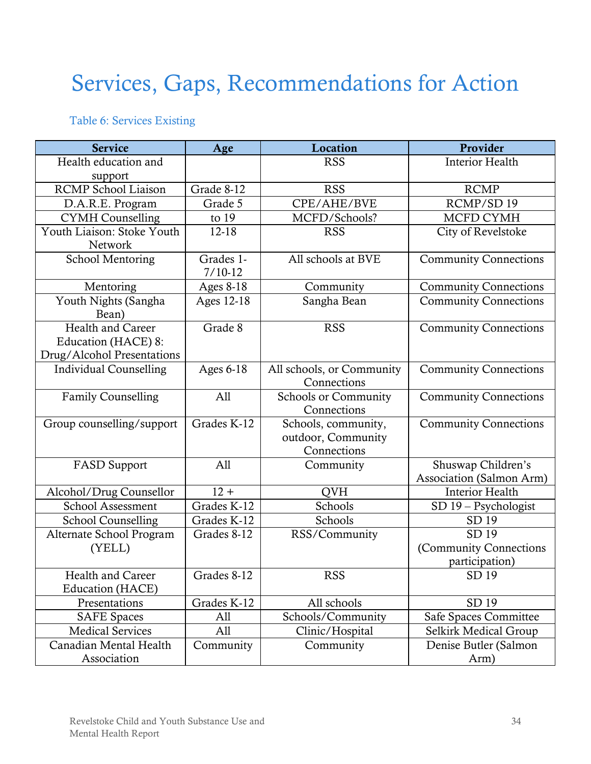## <span id="page-37-0"></span>Services, Gaps, Recommendations for Action

#### <span id="page-37-1"></span>Table 6: Services Existing

| <b>Service</b>                                                                | Age                    | Location                                                 | Provider                                          |
|-------------------------------------------------------------------------------|------------------------|----------------------------------------------------------|---------------------------------------------------|
| Health education and<br>support                                               |                        | <b>RSS</b>                                               | <b>Interior Health</b>                            |
| <b>RCMP</b> School Liaison                                                    | Grade 8-12             | <b>RSS</b>                                               | <b>RCMP</b>                                       |
| D.A.R.E. Program                                                              | Grade 5                | CPE/AHE/BVE                                              | RCMP/SD 19                                        |
| <b>CYMH</b> Counselling                                                       | to $19$                | MCFD/Schools?                                            | MCFD CYMH                                         |
| Youth Liaison: Stoke Youth<br><b>Network</b>                                  | 12-18                  | <b>RSS</b>                                               | City of Revelstoke                                |
| <b>School Mentoring</b>                                                       | Grades 1-<br>$7/10-12$ | All schools at BVE                                       | <b>Community Connections</b>                      |
| Mentoring                                                                     | <b>Ages 8-18</b>       | Community                                                | <b>Community Connections</b>                      |
| Youth Nights (Sangha<br>Bean)                                                 | Ages 12-18             | Sangha Bean                                              | <b>Community Connections</b>                      |
| <b>Health and Career</b><br>Education (HACE) 8:<br>Drug/Alcohol Presentations | Grade 8                | <b>RSS</b>                                               | <b>Community Connections</b>                      |
| <b>Individual Counselling</b>                                                 | Ages 6-18              | All schools, or Community<br>Connections                 | <b>Community Connections</b>                      |
| <b>Family Counselling</b>                                                     | A11                    | <b>Schools or Community</b><br>Connections               | <b>Community Connections</b>                      |
| Group counselling/support                                                     | Grades K-12            | Schools, community,<br>outdoor, Community<br>Connections | <b>Community Connections</b>                      |
| <b>FASD Support</b>                                                           | A11                    | Community                                                | Shuswap Children's<br>Association (Salmon Arm)    |
| Alcohol/Drug Counsellor                                                       | $12 +$                 | <b>QVH</b>                                               | <b>Interior Health</b>                            |
| School Assessment                                                             | Grades K-12            | Schools                                                  | SD 19 - Psychologist                              |
| <b>School Counselling</b>                                                     | Grades K-12            | Schools                                                  | SD 19                                             |
| Alternate School Program<br>(YELL)                                            | Grades 8-12            | RSS/Community                                            | SD 19<br>(Community Connections<br>participation) |
| Health and Career<br>Education (HACE)                                         | Grades 8-12            | <b>RSS</b>                                               | SD 19                                             |
| Presentations                                                                 | Grades K-12            | All schools                                              | SD 19                                             |
| <b>SAFE</b> Spaces                                                            | A11                    | Schools/Community                                        | Safe Spaces Committee                             |
| <b>Medical Services</b>                                                       | A11                    | Clinic/Hospital                                          | Selkirk Medical Group                             |
| Canadian Mental Health<br>Association                                         | Community              | Community                                                | Denise Butler (Salmon<br>Arm)                     |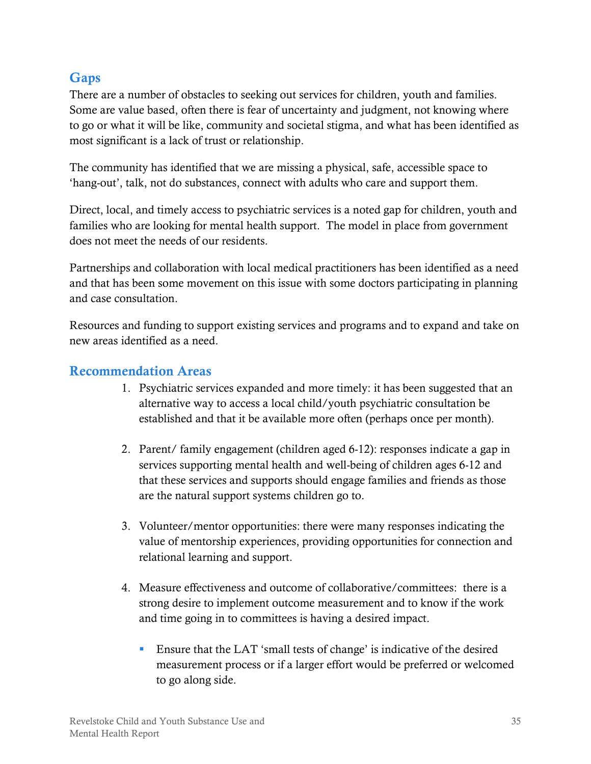## <span id="page-38-0"></span>**Gaps**

There are a number of obstacles to seeking out services for children, youth and families. Some are value based, often there is fear of uncertainty and judgment, not knowing where to go or what it will be like, community and societal stigma, and what has been identified as most significant is a lack of trust or relationship.

The community has identified that we are missing a physical, safe, accessible space to 'hang-out', talk, not do substances, connect with adults who care and support them.

Direct, local, and timely access to psychiatric services is a noted gap for children, youth and families who are looking for mental health support. The model in place from government does not meet the needs of our residents.

Partnerships and collaboration with local medical practitioners has been identified as a need and that has been some movement on this issue with some doctors participating in planning and case consultation.

Resources and funding to support existing services and programs and to expand and take on new areas identified as a need.

#### <span id="page-38-1"></span>**Recommendation Areas**

- 1. Psychiatric services expanded and more timely: it has been suggested that an alternative way to access a local child/youth psychiatric consultation be established and that it be available more often (perhaps once per month).
- 2. Parent/ family engagement (children aged 6-12): responses indicate a gap in services supporting mental health and well-being of children ages 6-12 and that these services and supports should engage families and friends as those are the natural support systems children go to.
- 3. Volunteer/mentor opportunities: there were many responses indicating the value of mentorship experiences, providing opportunities for connection and relational learning and support.
- 4. Measure effectiveness and outcome of collaborative/committees: there is a strong desire to implement outcome measurement and to know if the work and time going in to committees is having a desired impact.
	- Ensure that the LAT 'small tests of change' is indicative of the desired measurement process or if a larger effort would be preferred or welcomed to go along side.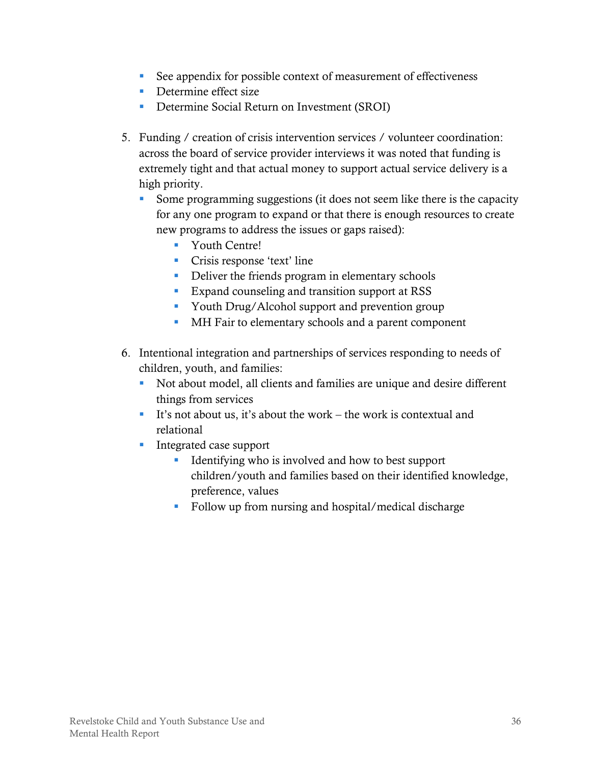- See appendix for possible context of measurement of effectiveness
- Determine effect size
- **Determine Social Return on Investment (SROI)**
- 5. Funding / creation of crisis intervention services / volunteer coordination: across the board of service provider interviews it was noted that funding is extremely tight and that actual money to support actual service delivery is a high priority.
	- Some programming suggestions (it does not seem like there is the capacity for any one program to expand or that there is enough resources to create new programs to address the issues or gaps raised):
		- Youth Centre!
		- Crisis response 'text' line
		- Deliver the friends program in elementary schools
		- **Expand counseling and transition support at RSS**
		- Youth Drug/Alcohol support and prevention group
		- **MH Fair to elementary schools and a parent component**
- 6. Intentional integration and partnerships of services responding to needs of children, youth, and families:
	- Not about model, all clients and families are unique and desire different things from services
	- It's not about us, it's about the work the work is contextual and relational
	- **Integrated case support** 
		- Identifying who is involved and how to best support children/youth and families based on their identified knowledge, preference, values
		- Follow up from nursing and hospital/medical discharge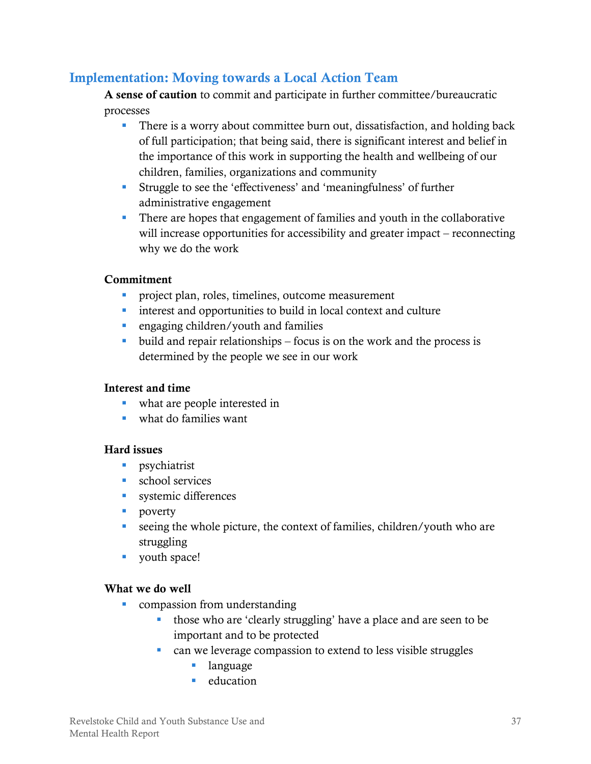## <span id="page-40-0"></span>**Implementation: Moving towards a Local Action Team**

**A sense of caution** to commit and participate in further committee/bureaucratic processes

- There is a worry about committee burn out, dissatisfaction, and holding back of full participation; that being said, there is significant interest and belief in the importance of this work in supporting the health and wellbeing of our children, families, organizations and community
- Struggle to see the 'effectiveness' and 'meaningfulness' of further administrative engagement
- There are hopes that engagement of families and youth in the collaborative will increase opportunities for accessibility and greater impact – reconnecting why we do the work

#### **Commitment**

- **Project plan, roles, timelines, outcome measurement**
- interest and opportunities to build in local context and culture
- **e** engaging children/youth and families
- build and repair relationships focus is on the work and the process is determined by the people we see in our work

#### **Interest and time**

- what are people interested in
- what do families want

#### **Hard issues**

- **psychiatrist**
- **school services**
- **systemic differences**
- **poverty**
- seeing the whole picture, the context of families, children/youth who are struggling
- vouth space!

#### **What we do well**

- **•** compassion from understanding
	- those who are 'clearly struggling' have a place and are seen to be important and to be protected
	- **EXECUTE:** can we leverage compassion to extend to less visible struggles
		- **language**
		- $\blacksquare$  education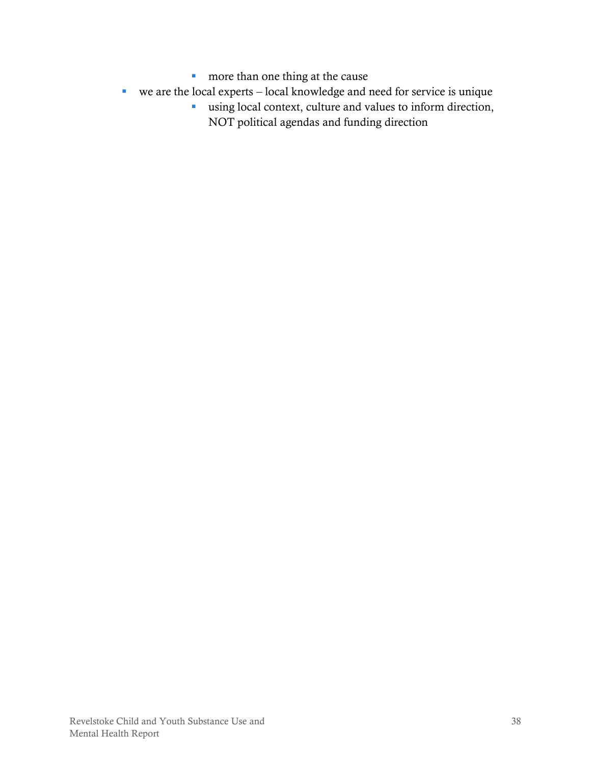- **more than one thing at the cause**
- we are the local experts local knowledge and need for service is unique
	- using local context, culture and values to inform direction,
		- NOT political agendas and funding direction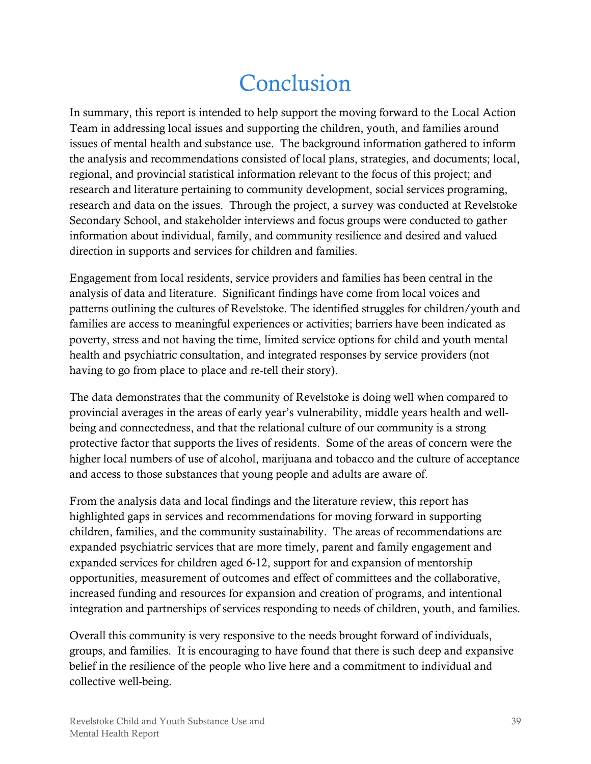## Conclusion

<span id="page-42-0"></span>In summary, this report is intended to help support the moving forward to the Local Action Team in addressing local issues and supporting the children, youth, and families around issues of mental health and substance use. The background information gathered to inform the analysis and recommendations consisted of local plans, strategies, and documents; local, regional, and provincial statistical information relevant to the focus of this project; and research and literature pertaining to community development, social services programing, research and data on the issues. Through the project, a survey was conducted at Revelstoke Secondary School, and stakeholder interviews and focus groups were conducted to gather information about individual, family, and community resilience and desired and valued direction in supports and services for children and families.

Engagement from local residents, service providers and families has been central in the analysis of data and literature. Significant findings have come from local voices and patterns outlining the cultures of Revelstoke. The identified struggles for children/youth and families are access to meaningful experiences or activities; barriers have been indicated as poverty, stress and not having the time, limited service options for child and youth mental health and psychiatric consultation, and integrated responses by service providers (not having to go from place to place and re-tell their story).

The data demonstrates that the community of Revelstoke is doing well when compared to provincial averages in the areas of early year's vulnerability, middle years health and wellbeing and connectedness, and that the relational culture of our community is a strong protective factor that supports the lives of residents. Some of the areas of concern were the higher local numbers of use of alcohol, marijuana and tobacco and the culture of acceptance and access to those substances that young people and adults are aware of.

From the analysis data and local findings and the literature review, this report has highlighted gaps in services and recommendations for moving forward in supporting children, families, and the community sustainability. The areas of recommendations are expanded psychiatric services that are more timely, parent and family engagement and expanded services for children aged 6-12, support for and expansion of mentorship opportunities, measurement of outcomes and effect of committees and the collaborative, increased funding and resources for expansion and creation of programs, and intentional integration and partnerships of services responding to needs of children, youth, and families.

Overall this community is very responsive to the needs brought forward of individuals, groups, and families. It is encouraging to have found that there is such deep and expansive belief in the resilience of the people who live here and a commitment to individual and collective well-being.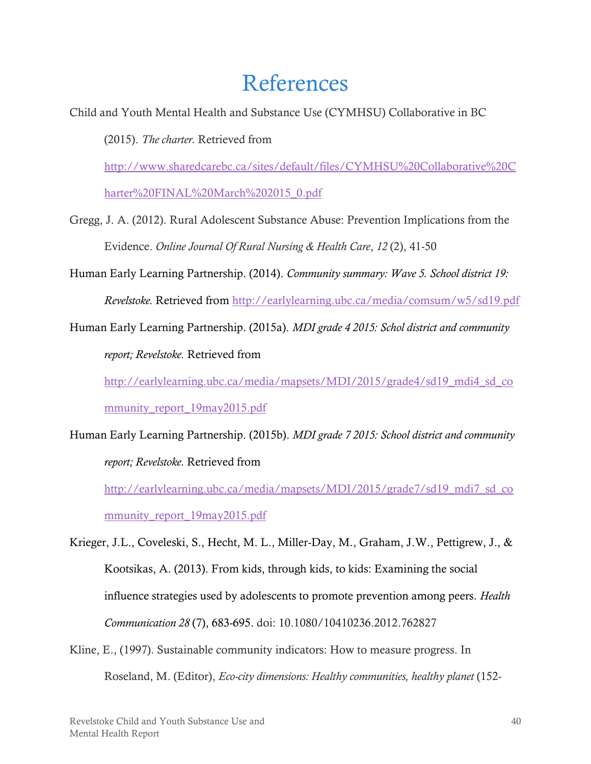## References

- <span id="page-43-0"></span>Child and Youth Mental Health and Substance Use (CYMHSU) Collaborative in BC (2015). *The charter.* Retrieved from [http://www.sharedcarebc.ca/sites/default/files/CYMHSU%20Collaborative%20C](http://www.sharedcarebc.ca/sites/default/files/CYMHSU%20Collaborative%20Charter%20FINAL%20March%202015_0.pdf) [harter%20FINAL%20March%202015\\_0.pdf](http://www.sharedcarebc.ca/sites/default/files/CYMHSU%20Collaborative%20Charter%20FINAL%20March%202015_0.pdf)
- Gregg, J. A. (2012). Rural Adolescent Substance Abuse: Prevention Implications from the Evidence. *Online Journal Of Rural Nursing & Health Care*, *12* (2), 41-50
- Human Early Learning Partnership. (2014). *Community summary: Wave 5. School district 19: Revelstoke.* Retrieved from<http://earlylearning.ubc.ca/media/comsum/w5/sd19.pdf>
- Human Early Learning Partnership. (2015a). *MDI grade 4 2015: Schol district and community report; Revelstoke.* Retrieved from

[http://earlylearning.ubc.ca/media/mapsets/MDI/2015/grade4/sd19\\_mdi4\\_sd\\_co](http://earlylearning.ubc.ca/media/mapsets/MDI/2015/grade4/sd19_mdi4_sd_community_report_19may2015.pdf) [mmunity\\_report\\_19may2015.pdf](http://earlylearning.ubc.ca/media/mapsets/MDI/2015/grade4/sd19_mdi4_sd_community_report_19may2015.pdf)

Human Early Learning Partnership. (2015b). *MDI grade 7 2015: School district and community report; Revelstoke.* Retrieved from

[http://earlylearning.ubc.ca/media/mapsets/MDI/2015/grade7/sd19\\_mdi7\\_sd\\_co](http://earlylearning.ubc.ca/media/mapsets/MDI/2015/grade7/sd19_mdi7_sd_community_report_19may2015.pdf) [mmunity\\_report\\_19may2015.pdf](http://earlylearning.ubc.ca/media/mapsets/MDI/2015/grade7/sd19_mdi7_sd_community_report_19may2015.pdf)

Krieger, J.L., Coveleski, S., Hecht, M. L., Miller-Day, M., Graham, J.W., Pettigrew, J., & Kootsikas, A. (2013). From kids, through kids, to kids: Examining the social influence strategies used by adolescents to promote prevention among peers. *Health Communication 28* (7), 683-695. doi: 10.1080/10410236.2012.762827

Kline, E., (1997). Sustainable community indicators: How to measure progress. In Roseland, M. (Editor), *Eco-city dimensions: Healthy communities, healthy planet* (152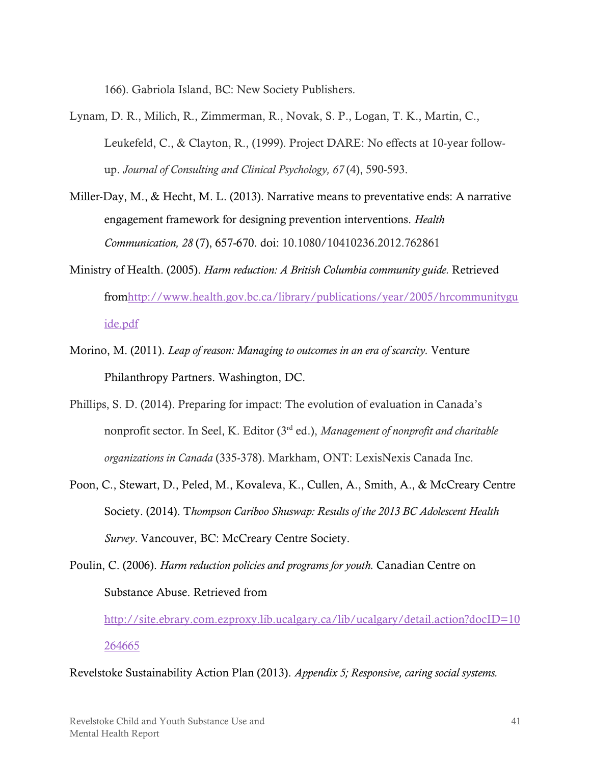166). Gabriola Island, BC: New Society Publishers.

- Lynam, D. R., Milich, R., Zimmerman, R., Novak, S. P., Logan, T. K., Martin, C., Leukefeld, C., & Clayton, R., (1999). Project DARE: No effects at 10-year followup. *Journal of Consulting and Clinical Psychology, 67* (4), 590-593.
- Miller-Day, M., & Hecht, M. L. (2013). Narrative means to preventative ends: A narrative engagement framework for designing prevention interventions. *Health Communication, 28* (7), 657-670. doi: 10.1080/10410236.2012.762861
- Ministry of Health. (2005). *Harm reduction: A British Columbia community guide.* Retrieved fro[mhttp://www.health.gov.bc.ca/library/publications/year/2005/hrcommunitygu](http://www.health.gov.bc.ca/library/publications/year/2005/hrcommunityguide.pdf) [ide.pdf](http://www.health.gov.bc.ca/library/publications/year/2005/hrcommunityguide.pdf)
- Morino, M. (2011). *Leap of reason: Managing to outcomes in an era of scarcity.* Venture Philanthropy Partners. Washington, DC.
- Phillips, S. D. (2014). Preparing for impact: The evolution of evaluation in Canada's nonprofit sector. In Seel, K. Editor (3rd ed.), *Management of nonprofit and charitable organizations in Canada* (335-378). Markham, ONT: LexisNexis Canada Inc.
- Poon, C., Stewart, D., Peled, M., Kovaleva, K., Cullen, A., Smith, A., & McCreary Centre Society. (2014). T*hompson Cariboo Shuswap: Results of the 2013 BC Adolescent Health Survey*. Vancouver, BC: McCreary Centre Society.

Poulin, C. (2006). *Harm reduction policies and programs for youth.* Canadian Centre on Substance Abuse. Retrieved from

[http://site.ebrary.com.ezproxy.lib.ucalgary.ca/lib/ucalgary/detail.action?docID=10](http://site.ebrary.com.ezproxy.lib.ucalgary.ca/lib/ucalgary/detail.action?docID=10264665) [264665](http://site.ebrary.com.ezproxy.lib.ucalgary.ca/lib/ucalgary/detail.action?docID=10264665)

Revelstoke Sustainability Action Plan (2013). *Appendix 5; Responsive, caring social systems.*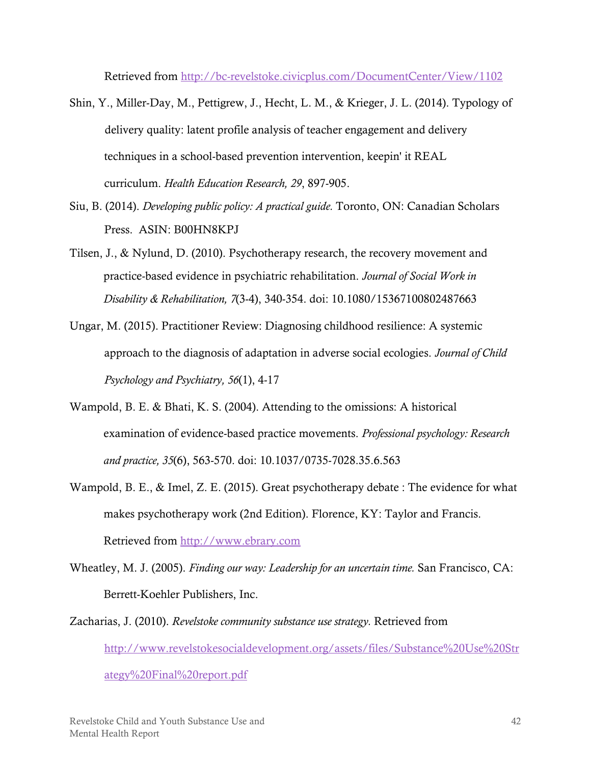Retrieved from <http://bc-revelstoke.civicplus.com/DocumentCenter/View/1102>

- Shin, Y., Miller-Day, M., Pettigrew, J., Hecht, L. M., & Krieger, J. L. (2014). Typology of delivery quality: latent profile analysis of teacher engagement and delivery techniques in a school-based prevention intervention, keepin' it REAL curriculum. *Health Education Research, 29*, 897-905.
- Siu, B. (2014). *Developing public policy: A practical guide.* Toronto, ON: Canadian Scholars Press. ASIN: B00HN8KPJ
- Tilsen, J., & Nylund, D. (2010). Psychotherapy research, the recovery movement and practice-based evidence in psychiatric rehabilitation. *Journal of Social Work in Disability & Rehabilitation, 7*(3-4), 340-354. doi: 10.1080/15367100802487663
- Ungar, M. (2015). Practitioner Review: Diagnosing childhood resilience: A systemic approach to the diagnosis of adaptation in adverse social ecologies. *Journal of Child Psychology and Psychiatry, 56*(1), 4-17
- Wampold, B. E. & Bhati, K. S. (2004). Attending to the omissions: A historical examination of evidence-based practice movements. *Professional psychology: Research and practice, 35*(6), 563-570. doi: 10.1037/0735-7028.35.6.563
- Wampold, B. E., & Imel, Z. E. (2015). Great psychotherapy debate : The evidence for what makes psychotherapy work (2nd Edition). Florence, KY: Taylor and Francis. Retrieved from [http://www.ebrary.com](http://www.ebrary.com/)
- Wheatley, M. J. (2005). *Finding our way: Leadership for an uncertain time.* San Francisco, CA: Berrett-Koehler Publishers, Inc.
- Zacharias, J. (2010). *Revelstoke community substance use strategy.* Retrieved from [http://www.revelstokesocialdevelopment.org/assets/files/Substance%20Use%20Str](http://www.revelstokesocialdevelopment.org/assets/files/Substance%20Use%20Strategy%20Final%20report.pdf) [ategy%20Final%20report.pdf](http://www.revelstokesocialdevelopment.org/assets/files/Substance%20Use%20Strategy%20Final%20report.pdf)